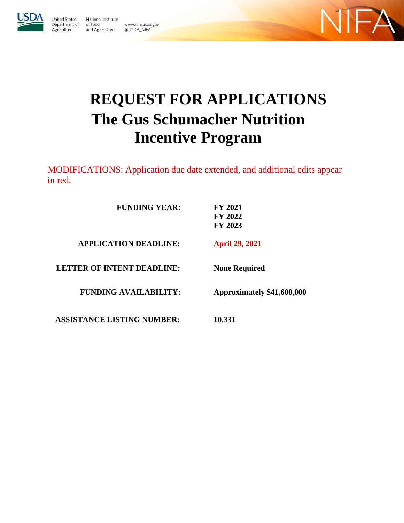

**United States** National Institute Department of of Food www.nifa.usda.gov Agriculture and Agriculture @USDA\_NIFA



# **REQUEST FOR APPLICATIONS The Gus Schumacher Nutrition Incentive Program**

MODIFICATIONS: Application due date extended, and additional edits appear in red.

| <b>FUNDING YEAR:</b>              | <b>FY 2021</b><br>FY 2022<br><b>FY 2023</b> |
|-----------------------------------|---------------------------------------------|
| <b>APPLICATION DEADLINE:</b>      | <b>April 29, 2021</b>                       |
| <b>LETTER OF INTENT DEADLINE:</b> | <b>None Required</b>                        |
| <b>FUNDING AVAILABILITY:</b>      | Approximately \$41,600,000                  |
| <b>ASSISTANCE LISTING NUMBER:</b> | 10.331                                      |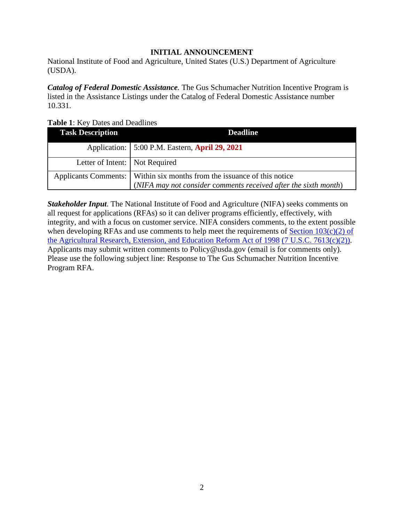## **INITIAL ANNOUNCEMENT**

<span id="page-1-0"></span>National Institute of Food and Agriculture, United States (U.S.) Department of Agriculture (USDA).

*Catalog of Federal Domestic Assistance.* The Gus Schumacher Nutrition Incentive Program is listed in the Assistance Listings under the Catalog of Federal Domestic Assistance number 10.331.

<span id="page-1-1"></span>**Table 1**: Key Dates and Deadlines

| <b>Task Description</b>          | <b>Deadline</b>                                                           |
|----------------------------------|---------------------------------------------------------------------------|
|                                  | Application:   5:00 P.M. Eastern, April 29, 2021                          |
| Letter of Intent:   Not Required |                                                                           |
|                                  | Applicants Comments:   Within six months from the issuance of this notice |
|                                  | (NIFA may not consider comments received after the sixth month)           |

*Stakeholder Input*. The National Institute of Food and Agriculture (NIFA) seeks comments on all request for applications (RFAs) so it can deliver programs efficiently, effectively, with integrity, and with a focus on customer service. NIFA considers comments, to the extent possible when developing RFAs and use comments to help meet the requirements of Section  $103(c)(2)$  of [the Agricultural Research, Extension, and Education Reform Act of 1998](https://nifa.usda.gov/resource/agricultural-research-extension-and-education-reform-act-1998) [\(7 U.S.C. 7613\(c\)\(2\)\).](https://nifa.usda.gov/resource/agricultural-research-extension-and-education-reform-act-1998) Applicants may submit written comments to Policy@usda.gov (email is for comments only). Please use the following subject line: Response to The Gus Schumacher Nutrition Incentive Program RFA.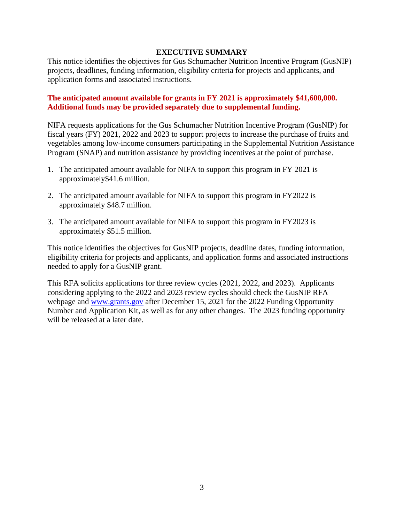#### **EXECUTIVE SUMMARY**

<span id="page-2-0"></span>This notice identifies the objectives for Gus Schumacher Nutrition Incentive Program (GusNIP) projects, deadlines, funding information, eligibility criteria for projects and applicants, and application forms and associated instructions.

#### **The anticipated amount available for grants in FY 2021 is approximately \$41,600,000. Additional funds may be provided separately due to supplemental funding.**

NIFA requests applications for the Gus Schumacher Nutrition Incentive Program (GusNIP) for fiscal years (FY) 2021, 2022 and 2023 to support projects to increase the purchase of fruits and vegetables among low-income consumers participating in the Supplemental Nutrition Assistance Program (SNAP) and nutrition assistance by providing incentives at the point of purchase.

- 1. The anticipated amount available for NIFA to support this program in FY 2021 is approximately\$41.6 million.
- 2. The anticipated amount available for NIFA to support this program in FY2022 is approximately \$48.7 million.
- 3. The anticipated amount available for NIFA to support this program in FY2023 is approximately \$51.5 million.

This notice identifies the objectives for GusNIP projects, deadline dates, funding information, eligibility criteria for projects and applicants, and application forms and associated instructions needed to apply for a GusNIP grant.

This RFA solicits applications for three review cycles (2021, 2022, and 2023). Applicants considering applying to the 2022 and 2023 review cycles should check the GusNIP RFA webpage and [www.grants.gov](http://www.grants.gov/) after December 15, 2021 for the 2022 Funding Opportunity Number and Application Kit, as well as for any other changes. The 2023 funding opportunity will be released at a later date.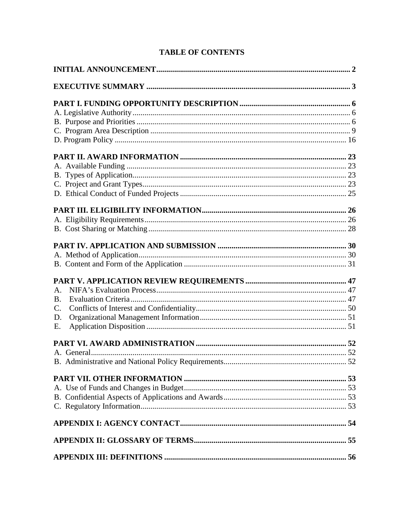| A <sub>1</sub> |  |
|----------------|--|
| <b>B.</b>      |  |
| C.             |  |
| D.             |  |
| Ε.             |  |
|                |  |
|                |  |
|                |  |
|                |  |
|                |  |
|                |  |
|                |  |
|                |  |
|                |  |
|                |  |

# **TABLE OF CONTENTS**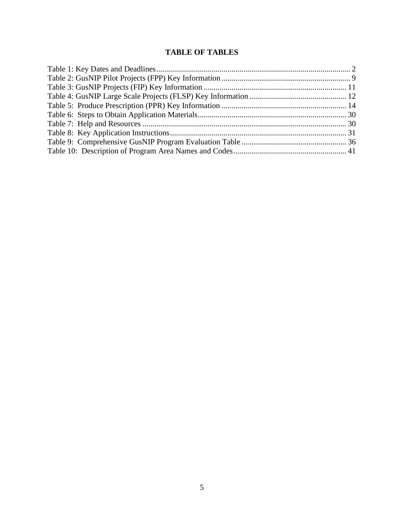# **TABLE OF TABLES**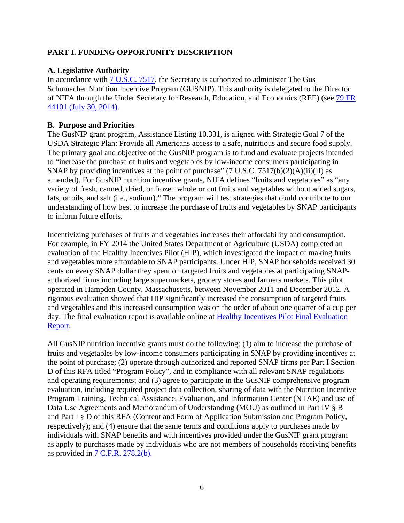## <span id="page-5-0"></span>**PART I. FUNDING OPPORTUNITY DESCRIPTION**

#### <span id="page-5-1"></span>**A. Legislative Authority**

In accordance with  $\frac{7 \text{ U.S.C. } 7517}{2}$ , the Secretary is authorized to administer The Gus Schumacher Nutrition Incentive Program (GUSNIP). This authority is delegated to the Director of NIFA through the Under Secretary for Research, Education, and Economics (REE) (see [79 FR](https://www.govinfo.gov/content/pkg/FR-2014-07-30/pdf/2014-17352.pdf)  [44101 \(July 30, 2014\).](https://www.govinfo.gov/content/pkg/FR-2014-07-30/pdf/2014-17352.pdf)

#### <span id="page-5-2"></span>**B. Purpose and Priorities**

The GusNIP grant program, Assistance Listing 10.331, is aligned with Strategic Goal 7 of the USDA Strategic Plan: Provide all Americans access to a safe, nutritious and secure food supply. The primary goal and objective of the GusNIP program is to fund and evaluate projects intended to "increase the purchase of fruits and vegetables by low-income consumers participating in SNAP by providing incentives at the point of purchase" (7 U.S.C. 7517(b)(2)(A)(ii)(II) as amended). For GusNIP nutrition incentive grants, NIFA defines "fruits and vegetables" as "any variety of fresh, canned, dried, or frozen whole or cut fruits and vegetables without added sugars, fats, or oils, and salt (i.e., sodium)." The program will test strategies that could contribute to our understanding of how best to increase the purchase of fruits and vegetables by SNAP participants to inform future efforts.

Incentivizing purchases of fruits and vegetables increases their affordability and consumption. For example, in FY 2014 the United States Department of Agriculture (USDA) completed an evaluation of the Healthy Incentives Pilot (HIP), which investigated the impact of making fruits and vegetables more affordable to SNAP participants. Under HIP, SNAP households received 30 cents on every SNAP dollar they spent on targeted fruits and vegetables at participating SNAPauthorized firms including large supermarkets, grocery stores and farmers markets. This pilot operated in Hampden County, Massachusetts, between November 2011 and December 2012. A rigorous evaluation showed that HIP significantly increased the consumption of targeted fruits and vegetables and this increased consumption was on the order of about one quarter of a cup per day. The final evaluation report is available online at [Healthy Incentives Pilot Final Evaluation](https://www.fns.usda.gov/snap/hip/final-evaluation-report)  [Report.](https://www.fns.usda.gov/snap/hip/final-evaluation-report)

All GusNIP nutrition incentive grants must do the following: (1) aim to increase the purchase of fruits and vegetables by low-income consumers participating in SNAP by providing incentives at the point of purchase; (2) operate through authorized and reported SNAP firms per Part I Section D of this RFA titled "Program Policy", and in compliance with all relevant SNAP regulations and operating requirements; and (3) agree to participate in the GusNIP comprehensive program evaluation, including required project data collection, sharing of data with the Nutrition Incentive Program Training, Technical Assistance, Evaluation, and Information Center (NTAE) and use of Data Use Agreements and Memorandum of Understanding (MOU) as outlined in Part IV § B and Part I § D of this RFA (Content and Form of Application Submission and Program Policy, respectively); and (4) ensure that the same terms and conditions apply to purchases made by individuals with SNAP benefits and with incentives provided under the GusNIP grant program as apply to purchases made by individuals who are not members of households receiving benefits as provided in 7 C.F.R. [278.2\(b\).](https://www.ecfr.gov/cgi-bin/text-idx?SID=f1168714ca1eed2fa5b78cd757014d90&mc=true&node=pt7.4.278&rgn=div5#se7.4.278_12)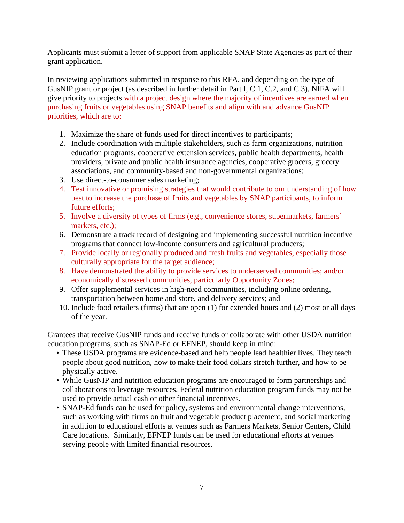Applicants must submit a letter of support from applicable SNAP State Agencies as part of their grant application.

In reviewing applications submitted in response to this RFA, and depending on the type of GusNIP grant or project (as described in further detail in Part I, C.1, C.2, and C.3), NIFA will give priority to projects with a project design where the majority of incentives are earned when purchasing fruits or vegetables using SNAP benefits and align with and advance GusNIP priorities, which are to:

- 1. Maximize the share of funds used for direct incentives to participants;
- 2. Include coordination with multiple stakeholders, such as farm organizations, nutrition education programs, cooperative extension services, public health departments, health providers, private and public health insurance agencies, cooperative grocers, grocery associations, and community-based and non-governmental organizations;
- 3. Use direct-to-consumer sales marketing;
- 4. Test innovative or promising strategies that would contribute to our understanding of how best to increase the purchase of fruits and vegetables by SNAP participants, to inform future efforts;
- 5. Involve a diversity of types of firms (e.g., convenience stores, supermarkets, farmers' markets, etc.);
- 6. Demonstrate a track record of designing and implementing successful nutrition incentive programs that connect low-income consumers and agricultural producers;
- 7. Provide locally or regionally produced and fresh fruits and vegetables, especially those culturally appropriate for the target audience;
- 8. Have demonstrated the ability to provide services to underserved communities; and/or economically distressed communities, particularly Opportunity Zones;
- 9. Offer supplemental services in high-need communities, including online ordering, transportation between home and store, and delivery services; and
- 10. Include food retailers (firms) that are open (1) for extended hours and (2) most or all days of the year.

Grantees that receive GusNIP funds and receive funds or collaborate with other USDA nutrition education programs, such as SNAP-Ed or EFNEP, should keep in mind:

- These USDA programs are evidence-based and help people lead healthier lives. They teach people about good nutrition, how to make their food dollars stretch further, and how to be physically active.
- While GusNIP and nutrition education programs are encouraged to form partnerships and collaborations to leverage resources, Federal nutrition education program funds may not be used to provide actual cash or other financial incentives.
- SNAP-Ed funds can be used for policy, systems and environmental change interventions, such as working with firms on fruit and vegetable product placement, and social marketing in addition to educational efforts at venues such as Farmers Markets, Senior Centers, Child Care locations. Similarly, EFNEP funds can be used for educational efforts at venues serving people with limited financial resources.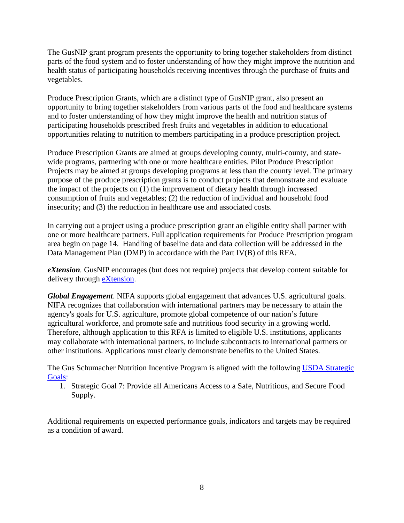The GusNIP grant program presents the opportunity to bring together stakeholders from distinct parts of the food system and to foster understanding of how they might improve the nutrition and health status of participating households receiving incentives through the purchase of fruits and vegetables.

Produce Prescription Grants, which are a distinct type of GusNIP grant, also present an opportunity to bring together stakeholders from various parts of the food and healthcare systems and to foster understanding of how they might improve the health and nutrition status of participating households prescribed fresh fruits and vegetables in addition to educational opportunities relating to nutrition to members participating in a produce prescription project.

Produce Prescription Grants are aimed at groups developing county, multi-county, and statewide programs, partnering with one or more healthcare entities. Pilot Produce Prescription Projects may be aimed at groups developing programs at less than the county level. The primary purpose of the produce prescription grants is to conduct projects that demonstrate and evaluate the impact of the projects on (1) the improvement of dietary health through increased consumption of fruits and vegetables; (2) the reduction of individual and household food insecurity; and (3) the reduction in healthcare use and associated costs.

In carrying out a project using a produce prescription grant an eligible entity shall partner with one or more healthcare partners. Full application requirements for Produce Prescription program area begin on page 14. Handling of baseline data and data collection will be addressed in the Data Management Plan (DMP) in accordance with the Part IV(B) of this RFA.

*eXtension.* GusNIP encourages (but does not require) projects that develop content suitable for delivery through [eXtension.](https://impact.extension.org/)

*Global Engagement*. NIFA supports global engagement that advances U.S. agricultural goals. NIFA recognizes that collaboration with international partners may be necessary to attain the agency's goals for U.S. agriculture, promote global competence of our nation's future agricultural workforce, and promote safe and nutritious food security in a growing world. Therefore, although application to this RFA is limited to eligible U.S. institutions, applicants may collaborate with international partners, to include subcontracts to international partners or other institutions. Applications must clearly demonstrate benefits to the United States.

The Gus Schumacher Nutrition Incentive Program is aligned with the following [USDA Strategic](https://www.usda.gov/sites/default/files/documents/usda-strategic-plan-2018-2022.pdf)  [Goals:](https://www.usda.gov/sites/default/files/documents/usda-strategic-plan-2018-2022.pdf)

1. Strategic Goal 7: Provide all Americans Access to a Safe, Nutritious, and Secure Food Supply.

<span id="page-7-0"></span>Additional requirements on expected performance goals, indicators and targets may be required as a condition of award.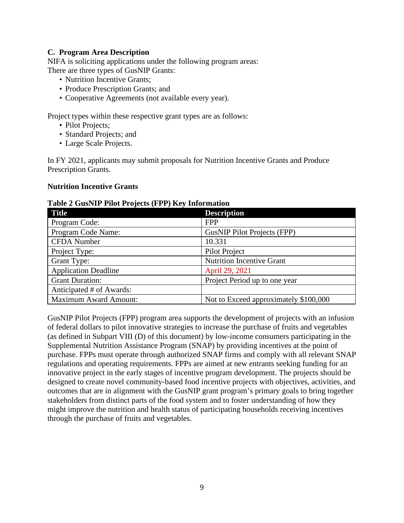#### **C. Program Area Description**

NIFA is soliciting applications under the following program areas: There are three types of GusNIP Grants:

- Nutrition Incentive Grants;
- Produce Prescription Grants: and
- Cooperative Agreements (not available every year).

Project types within these respective grant types are as follows:

- Pilot Projects;
- Standard Projects; and
- Large Scale Projects.

In FY 2021, applicants may submit proposals for Nutrition Incentive Grants and Produce Prescription Grants.

#### **Nutrition Incentive Grants**

#### <span id="page-8-0"></span>**Table 2 GusNIP Pilot Projects (FPP) Key Information**

| <b>Title</b>                 | <b>Description</b>                    |
|------------------------------|---------------------------------------|
| Program Code:                | <b>FPP</b>                            |
| Program Code Name:           | <b>GusNIP Pilot Projects (FPP)</b>    |
| <b>CFDA</b> Number           | 10.331                                |
| Project Type:                | <b>Pilot Project</b>                  |
| Grant Type:                  | <b>Nutrition Incentive Grant</b>      |
| <b>Application Deadline</b>  | April 29, 2021                        |
| <b>Grant Duration:</b>       | Project Period up to one year         |
| Anticipated # of Awards:     |                                       |
| <b>Maximum Award Amount:</b> | Not to Exceed approximately \$100,000 |

GusNIP Pilot Projects (FPP) program area supports the development of projects with an infusion of federal dollars to pilot innovative strategies to increase the purchase of fruits and vegetables (as defined in Subpart VIII (D) of this document) by low-income consumers participating in the Supplemental Nutrition Assistance Program (SNAP) by providing incentives at the point of purchase. FPPs must operate through authorized SNAP firms and comply with all relevant SNAP regulations and operating requirements. FPPs are aimed at new entrants seeking funding for an innovative project in the early stages of incentive program development. The projects should be designed to create novel community-based food incentive projects with objectives, activities, and outcomes that are in alignment with the GusNIP grant program's primary goals to bring together stakeholders from distinct parts of the food system and to foster understanding of how they might improve the nutrition and health status of participating households receiving incentives through the purchase of fruits and vegetables.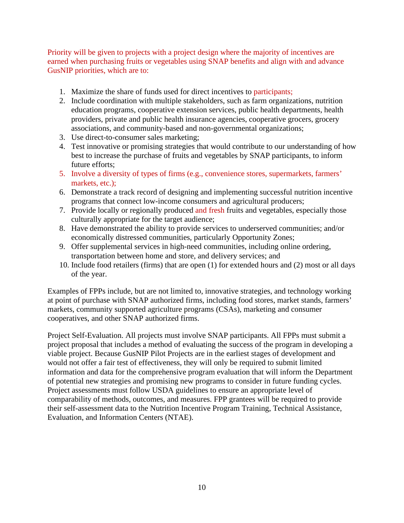Priority will be given to projects with a project design where the majority of incentives are earned when purchasing fruits or vegetables using SNAP benefits and align with and advance GusNIP priorities, which are to:

- 1. Maximize the share of funds used for direct incentives to participants;
- 2. Include coordination with multiple stakeholders, such as farm organizations, nutrition education programs, cooperative extension services, public health departments, health providers, private and public health insurance agencies, cooperative grocers, grocery associations, and community-based and non-governmental organizations;
- 3. Use direct-to-consumer sales marketing;
- 4. Test innovative or promising strategies that would contribute to our understanding of how best to increase the purchase of fruits and vegetables by SNAP participants, to inform future efforts;
- 5. Involve a diversity of types of firms (e.g., convenience stores, supermarkets, farmers' markets, etc.);
- 6. Demonstrate a track record of designing and implementing successful nutrition incentive programs that connect low-income consumers and agricultural producers;
- 7. Provide locally or regionally produced and fresh fruits and vegetables, especially those culturally appropriate for the target audience;
- 8. Have demonstrated the ability to provide services to underserved communities; and/or economically distressed communities, particularly Opportunity Zones;
- 9. Offer supplemental services in high-need communities, including online ordering, transportation between home and store, and delivery services; and
- 10. Include food retailers (firms) that are open (1) for extended hours and (2) most or all days of the year.

Examples of FPPs include, but are not limited to, innovative strategies, and technology working at point of purchase with SNAP authorized firms, including food stores, market stands, farmers' markets, community supported agriculture programs (CSAs), marketing and consumer cooperatives, and other SNAP authorized firms.

Project Self-Evaluation. All projects must involve SNAP participants. All FPPs must submit a project proposal that includes a method of evaluating the success of the program in developing a viable project. Because GusNIP Pilot Projects are in the earliest stages of development and would not offer a fair test of effectiveness, they will only be required to submit limited information and data for the comprehensive program evaluation that will inform the Department of potential new strategies and promising new programs to consider in future funding cycles. Project assessments must follow USDA guidelines to ensure an appropriate level of comparability of methods, outcomes, and measures. FPP grantees will be required to provide their self-assessment data to the Nutrition Incentive Program Training, Technical Assistance, Evaluation, and Information Centers (NTAE).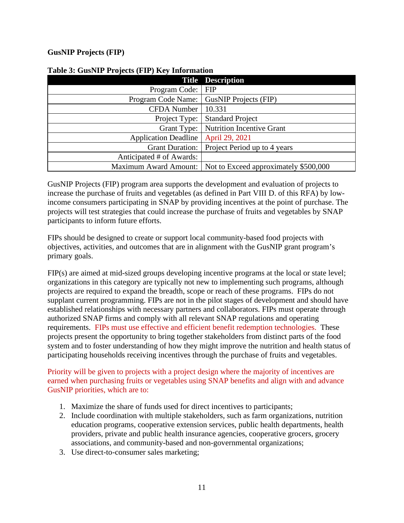## **GusNIP Projects (FIP)**

|                             | <b>Title Description</b>              |
|-----------------------------|---------------------------------------|
| Program Code:               | <b>FIP</b>                            |
| Program Code Name:          | <b>GusNIP Projects (FIP)</b>          |
| <b>CFDA</b> Number          | 10.331                                |
| Project Type:               | <b>Standard Project</b>               |
| Grant Type:                 | Nutrition Incentive Grant             |
| <b>Application Deadline</b> | April 29, 2021                        |
| <b>Grant Duration:</b>      | Project Period up to 4 years          |
| Anticipated # of Awards:    |                                       |
| Maximum Award Amount:       | Not to Exceed approximately \$500,000 |

#### <span id="page-10-0"></span>**Table 3: GusNIP Projects (FIP) Key Information**

GusNIP Projects (FIP) program area supports the development and evaluation of projects to increase the purchase of fruits and vegetables (as defined in Part VIII D. of this RFA) by lowincome consumers participating in SNAP by providing incentives at the point of purchase. The projects will test strategies that could increase the purchase of fruits and vegetables by SNAP participants to inform future efforts.

FIPs should be designed to create or support local community-based food projects with objectives, activities, and outcomes that are in alignment with the GusNIP grant program's primary goals.

FIP(s) are aimed at mid-sized groups developing incentive programs at the local or state level; organizations in this category are typically not new to implementing such programs, although projects are required to expand the breadth, scope or reach of these programs. FIPs do not supplant current programming. FIPs are not in the pilot stages of development and should have established relationships with necessary partners and collaborators. FIPs must operate through authorized SNAP firms and comply with all relevant SNAP regulations and operating requirements. FIPs must use effective and efficient benefit redemption technologies. These projects present the opportunity to bring together stakeholders from distinct parts of the food system and to foster understanding of how they might improve the nutrition and health status of participating households receiving incentives through the purchase of fruits and vegetables.

Priority will be given to projects with a project design where the majority of incentives are earned when purchasing fruits or vegetables using SNAP benefits and align with and advance GusNIP priorities, which are to:

- 1. Maximize the share of funds used for direct incentives to participants;
- 2. Include coordination with multiple stakeholders, such as farm organizations, nutrition education programs, cooperative extension services, public health departments, health providers, private and public health insurance agencies, cooperative grocers, grocery associations, and community-based and non-governmental organizations;
- 3. Use direct-to-consumer sales marketing;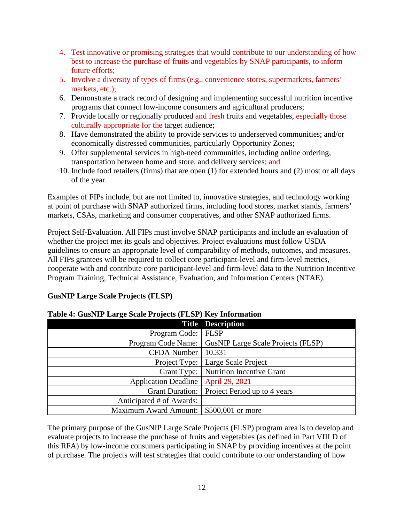- 4. Test innovative or promising strategies that would contribute to our understanding of how best to increase the purchase of fruits and vegetables by SNAP participants, to inform future efforts;
- 5. Involve a diversity of types of firms (e.g., convenience stores, supermarkets, farmers' markets, etc.);
- 6. Demonstrate a track record of designing and implementing successful nutrition incentive programs that connect low-income consumers and agricultural producers;
- 7. Provide locally or regionally produced and fresh fruits and vegetables, especially those culturally appropriate for the target audience;
- 8. Have demonstrated the ability to provide services to underserved communities; and/or economically distressed communities, particularly Opportunity Zones;
- 9. Offer supplemental services in high-need communities, including online ordering, transportation between home and store, and delivery services; and
- 10. Include food retailers (firms) that are open (1) for extended hours and (2) most or all days of the year.

Examples of FIPs include, but are not limited to, innovative strategies, and technology working at point of purchase with SNAP authorized firms, including food stores, market stands, farmers' markets, CSAs, marketing and consumer cooperatives, and other SNAP authorized firms.

Project Self-Evaluation. All FIPs must involve SNAP participants and include an evaluation of whether the project met its goals and objectives. Project evaluations must follow USDA guidelines to ensure an appropriate level of comparability of methods, outcomes, and measures. All FIPs grantees will be required to collect core participant-level and firm-level metrics, cooperate with and contribute core participant-level and firm-level data to the Nutrition Incentive Program Training, Technical Assistance, Evaluation, and Information Centers (NTAE).

## **GusNIP Large Scale Projects (FLSP)**

|                              | <b>Title Description</b>                  |
|------------------------------|-------------------------------------------|
| Program Code:                | <b>FLSP</b>                               |
| Program Code Name:           | <b>GusNIP Large Scale Projects (FLSP)</b> |
| <b>CFDA</b> Number           | 10.331                                    |
|                              | Project Type:   Large Scale Project       |
| Grant Type:                  | <b>Nutrition Incentive Grant</b>          |
| <b>Application Deadline</b>  | April 29, 2021                            |
| <b>Grant Duration:</b>       | Project Period up to 4 years              |
| Anticipated # of Awards:     |                                           |
| <b>Maximum Award Amount:</b> | \$500,001 or more                         |

## <span id="page-11-0"></span>**Table 4: GusNIP Large Scale Projects (FLSP) Key Information**

The primary purpose of the GusNIP Large Scale Projects (FLSP) program area is to develop and evaluate projects to increase the purchase of fruits and vegetables (as defined in Part VIII D of this RFA) by low-income consumers participating in SNAP by providing incentives at the point of purchase. The projects will test strategies that could contribute to our understanding of how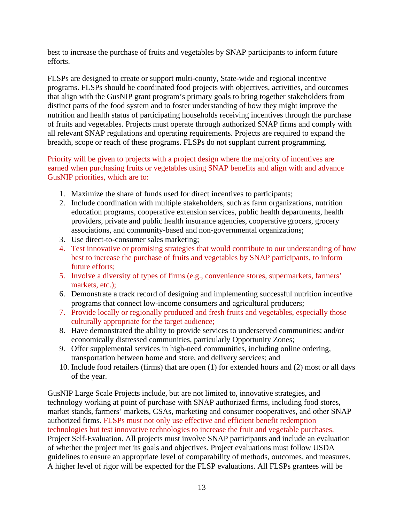best to increase the purchase of fruits and vegetables by SNAP participants to inform future efforts.

FLSPs are designed to create or support multi-county, State-wide and regional incentive programs. FLSPs should be coordinated food projects with objectives, activities, and outcomes that align with the GusNIP grant program's primary goals to bring together stakeholders from distinct parts of the food system and to foster understanding of how they might improve the nutrition and health status of participating households receiving incentives through the purchase of fruits and vegetables. Projects must operate through authorized SNAP firms and comply with all relevant SNAP regulations and operating requirements. Projects are required to expand the breadth, scope or reach of these programs. FLSPs do not supplant current programming.

Priority will be given to projects with a project design where the majority of incentives are earned when purchasing fruits or vegetables using SNAP benefits and align with and advance GusNIP priorities, which are to:

- 1. Maximize the share of funds used for direct incentives to participants;
- 2. Include coordination with multiple stakeholders, such as farm organizations, nutrition education programs, cooperative extension services, public health departments, health providers, private and public health insurance agencies, cooperative grocers, grocery associations, and community-based and non-governmental organizations;
- 3. Use direct-to-consumer sales marketing;
- 4. Test innovative or promising strategies that would contribute to our understanding of how best to increase the purchase of fruits and vegetables by SNAP participants, to inform future efforts;
- 5. Involve a diversity of types of firms (e.g., convenience stores, supermarkets, farmers' markets, etc.);
- 6. Demonstrate a track record of designing and implementing successful nutrition incentive programs that connect low-income consumers and agricultural producers;
- 7. Provide locally or regionally produced and fresh fruits and vegetables, especially those culturally appropriate for the target audience;
- 8. Have demonstrated the ability to provide services to underserved communities; and/or economically distressed communities, particularly Opportunity Zones;
- 9. Offer supplemental services in high-need communities, including online ordering, transportation between home and store, and delivery services; and
- 10. Include food retailers (firms) that are open (1) for extended hours and (2) most or all days of the year.

GusNIP Large Scale Projects include, but are not limited to, innovative strategies, and technology working at point of purchase with SNAP authorized firms, including food stores, market stands, farmers' markets, CSAs, marketing and consumer cooperatives, and other SNAP authorized firms. FLSPs must not only use effective and efficient benefit redemption technologies but test innovative technologies to increase the fruit and vegetable purchases. Project Self-Evaluation. All projects must involve SNAP participants and include an evaluation of whether the project met its goals and objectives. Project evaluations must follow USDA guidelines to ensure an appropriate level of comparability of methods, outcomes, and measures. A higher level of rigor will be expected for the FLSP evaluations. All FLSPs grantees will be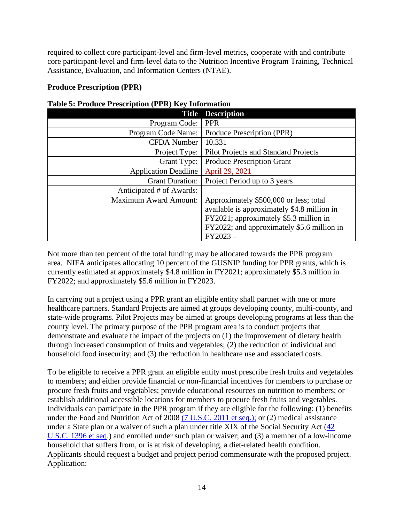required to collect core participant-level and firm-level metrics, cooperate with and contribute core participant-level and firm-level data to the Nutrition Incentive Program Training, Technical Assistance, Evaluation, and Information Centers (NTAE).

## **Produce Prescription (PPR)**

| <b>Title</b>                 | <b>Description</b>                          |
|------------------------------|---------------------------------------------|
| Program Code:                | <b>PPR</b>                                  |
| Program Code Name:           | Produce Prescription (PPR)                  |
| <b>CFDA</b> Number           | 10.331                                      |
| Project Type:                | Pilot Projects and Standard Projects        |
| Grant Type:                  | <b>Produce Prescription Grant</b>           |
| <b>Application Deadline</b>  | April 29, 2021                              |
| <b>Grant Duration:</b>       | Project Period up to 3 years                |
| Anticipated # of Awards:     |                                             |
| <b>Maximum Award Amount:</b> | Approximately \$500,000 or less; total      |
|                              | available is approximately \$4.8 million in |
|                              | FY2021; approximately \$5.3 million in      |
|                              | FY2022; and approximately \$5.6 million in  |
|                              | $FY2023-$                                   |

<span id="page-13-0"></span>

| <b>Table 5: Produce Prescription (PPR) Key Information</b> |  |  |
|------------------------------------------------------------|--|--|
|------------------------------------------------------------|--|--|

Not more than ten percent of the total funding may be allocated towards the PPR program area. NIFA anticipates allocating 10 percent of the GUSNIP funding for PPR grants, which is currently estimated at approximately \$4.8 million in FY2021; approximately \$5.3 million in FY2022; and approximately \$5.6 million in FY2023.

In carrying out a project using a PPR grant an eligible entity shall partner with one or more healthcare partners. Standard Projects are aimed at groups developing county, multi-county, and state-wide programs. Pilot Projects may be aimed at groups developing programs at less than the county level. The primary purpose of the PPR program area is to conduct projects that demonstrate and evaluate the impact of the projects on (1) the improvement of dietary health through increased consumption of fruits and vegetables; (2) the reduction of individual and household food insecurity; and (3) the reduction in healthcare use and associated costs.

To be eligible to receive a PPR grant an eligible entity must prescribe fresh fruits and vegetables to members; and either provide financial or non-financial incentives for members to purchase or procure fresh fruits and vegetables; provide educational resources on nutrition to members; or establish additional accessible locations for members to procure fresh fruits and vegetables. Individuals can participate in the PPR program if they are eligible for the following: (1) benefits under the Food and Nutrition Act of 2008 [\(7 U.S.C. 2011 et seq.\);](https://uscode.house.gov/view.xhtml?req=(title:7%20section:2011%20edition:prelim)%20OR%20(granuleid:USC-prelim-title7-section2011)&f=treesort&num=0&edition=prelim) or (2) medical assistance under a State plan or a waiver of such a plan under title XIX of the Social Security Act [\(42](https://uscode.house.gov/view.xhtml?req=(title:42%20section:1396%20edition:prelim)%20OR%20(granuleid:USC-prelim-title42-section1396)&f=treesort&num=0&edition=prelim)  [U.S.C. 1396 et seq.](https://uscode.house.gov/view.xhtml?req=(title:42%20section:1396%20edition:prelim)%20OR%20(granuleid:USC-prelim-title42-section1396)&f=treesort&num=0&edition=prelim)) and enrolled under such plan or waiver; and (3) a member of a low-income household that suffers from, or is at risk of developing, a diet-related health condition. Applicants should request a budget and project period commensurate with the proposed project. Application: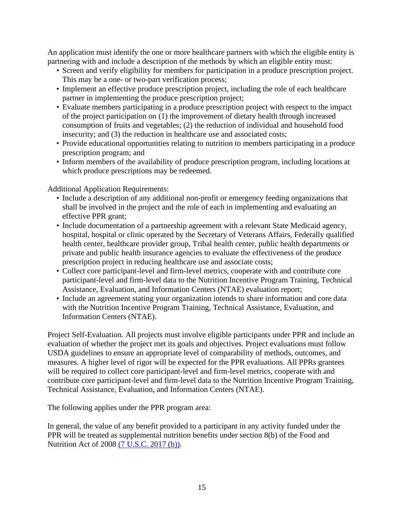An application must identify the one or more healthcare partners with which the eligible entity is partnering with and include a description of the methods by which an eligible entity must:

- Screen and verify eligibility for members for participation in a produce prescription project. This may be a one- or two-part verification process;
- Implement an effective produce prescription project, including the role of each healthcare partner in implementing the produce prescription project;
- Evaluate members participating in a produce prescription project with respect to the impact of the project participation on (1) the improvement of dietary health through increased consumption of fruits and vegetables; (2) the reduction of individual and household food insecurity; and (3) the reduction in healthcare use and associated costs;
- Provide educational opportunities relating to nutrition to members participating in a produce prescription program; and
- Inform members of the availability of produce prescription program, including locations at which produce prescriptions may be redeemed.

Additional Application Requirements:

- Include a description of any additional non-profit or emergency feeding organizations that shall be involved in the project and the role of each in implementing and evaluating an effective PPR grant;
- Include documentation of a partnership agreement with a relevant State Medicaid agency, hospital, hospital or clinic operated by the Secretary of Veterans Affairs, Federally qualified health center, healthcare provider group, Tribal health center, public health departments or private and public health insurance agencies to evaluate the effectiveness of the produce prescription project in reducing healthcare use and associate costs;
- Collect core participant-level and firm-level metrics, cooperate with and contribute core participant-level and firm-level data to the Nutrition Incentive Program Training, Technical Assistance, Evaluation, and Information Centers (NTAE) evaluation report;
- Include an agreement stating your organization intends to share information and core data with the Nutrition Incentive Program Training, Technical Assistance, Evaluation, and Information Centers (NTAE).

Project Self-Evaluation. All projects must involve eligible participants under PPR and include an evaluation of whether the project met its goals and objectives. Project evaluations must follow USDA guidelines to ensure an appropriate level of comparability of methods, outcomes, and measures. A higher level of rigor will be expected for the PPR evaluations. All PPRs grantees will be required to collect core participant-level and firm-level metrics, cooperate with and contribute core participant-level and firm-level data to the Nutrition Incentive Program Training, Technical Assistance, Evaluation, and Information Centers (NTAE).

The following applies under the PPR program area:

In general, the value of any benefit provided to a participant in any activity funded under the PPR will be treated as supplemental nutrition benefits under section 8(b) of the Food and Nutrition Act of 2008 [\(7 U.S.C. 2017 \(b\)\).](https://uscode.house.gov/view.xhtml?req=(title:7%20section:2017%20edition:prelim)%20OR%20(granuleid:USC-prelim-title7-section2017)&f=treesort&edition=prelim&num=0&jumpTo=true)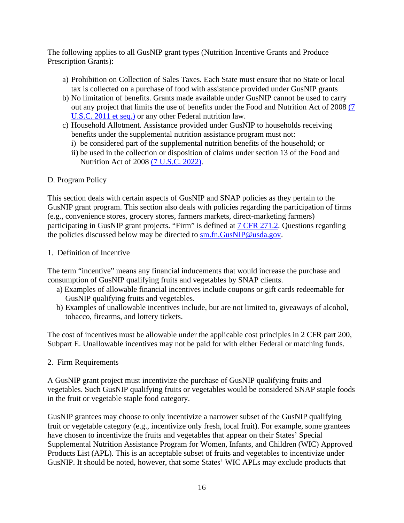The following applies to all GusNIP grant types (Nutrition Incentive Grants and Produce Prescription Grants):

- a) Prohibition on Collection of Sales Taxes. Each State must ensure that no State or local tax is collected on a purchase of food with assistance provided under GusNIP grants
- b) No limitation of benefits. Grants made available under GusNIP cannot be used to carry out any project that limits the use of benefits under the Food and Nutrition Act of 2008 [\(7](https://uscode.house.gov/view.xhtml?req=(title:7%20section:2011%20et%20seq%20edition:prelim)%20OR%20(granuleid:USC-prelim-title7-section2011%20et%20seq)&f=treesort&edition=prelim&num=0&jumpTo=true)  [U.S.C. 2011 et seq.\)](https://uscode.house.gov/view.xhtml?req=(title:7%20section:2011%20et%20seq%20edition:prelim)%20OR%20(granuleid:USC-prelim-title7-section2011%20et%20seq)&f=treesort&edition=prelim&num=0&jumpTo=true) or any other Federal nutrition law.
- c) Household Allotment. Assistance provided under GusNIP to households receiving benefits under the supplemental nutrition assistance program must not:
	- i) be considered part of the supplemental nutrition benefits of the household; or
	- ii) be used in the collection or disposition of claims under section 13 of the Food and Nutrition Act of 2008 [\(7 U.S.C. 2022\).](https://uscode.house.gov/view.xhtml?req=(title:7%20section:2022%20edition:prelim)%20OR%20(granuleid:USC-prelim-title7-section2022)&f=treesort&edition=prelim&num=0&jumpTo=true)

## <span id="page-15-0"></span>D. Program Policy

This section deals with certain aspects of GusNIP and SNAP policies as they pertain to the GusNIP grant program. This section also deals with policies regarding the participation of firms (e.g., convenience stores, grocery stores, farmers markets, direct-marketing farmers) participating in GusNIP grant projects. "Firm" is defined at [7 CFR 271.2.](https://www.ecfr.gov/cgi-bin/text-idx?SID=329442115b924ed2812c8f8b73ff1e59&mc=true&node=pt7.4.271&rgn=div5#se7.4.271_12) Questions regarding the policies discussed below may be directed to [sm.fn.GusNIP@usda.gov.](mailto:sm.fn.GusNIP@usda.gov)

#### 1. Definition of Incentive

The term "incentive" means any financial inducements that would increase the purchase and consumption of GusNIP qualifying fruits and vegetables by SNAP clients.

- a) Examples of allowable financial incentives include coupons or gift cards redeemable for GusNIP qualifying fruits and vegetables.
- b) Examples of unallowable incentives include, but are not limited to, giveaways of alcohol, tobacco, firearms, and lottery tickets.

The cost of incentives must be allowable under the applicable cost principles in [2 CFR part 200,](https://www.ecfr.gov/cgi-bin/text-idx?SID=6b2c5ee2c0d4d29785d122a55f044a25&mc=true&node=pt2.1.200&rgn=div5#sp2.1.200.e)  [Subpart E.](https://www.ecfr.gov/cgi-bin/text-idx?SID=6b2c5ee2c0d4d29785d122a55f044a25&mc=true&node=pt2.1.200&rgn=div5#sp2.1.200.e) Unallowable incentives may not be paid for with either Federal or matching funds.

#### 2. Firm Requirements

A GusNIP grant project must incentivize the purchase of GusNIP qualifying fruits and vegetables. Such GusNIP qualifying fruits or vegetables would be considered SNAP staple foods in the fruit or vegetable staple food category.

GusNIP grantees may choose to only incentivize a narrower subset of the GusNIP qualifying fruit or vegetable category (e.g., incentivize only fresh, local fruit). For example, some grantees have chosen to incentivize the fruits and vegetables that appear on their States' Special Supplemental Nutrition Assistance Program for Women, Infants, and Children (WIC) Approved Products List (APL). This is an acceptable subset of fruits and vegetables to incentivize under GusNIP. It should be noted, however, that some States' WIC APLs may exclude products that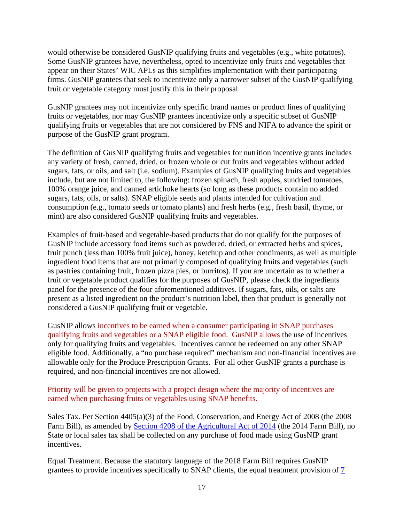would otherwise be considered GusNIP qualifying fruits and vegetables (e.g., white potatoes). Some GusNIP grantees have, nevertheless, opted to incentivize only fruits and vegetables that appear on their States' WIC APLs as this simplifies implementation with their participating firms. GusNIP grantees that seek to incentivize only a narrower subset of the GusNIP qualifying fruit or vegetable category must justify this in their proposal.

GusNIP grantees may not incentivize only specific brand names or product lines of qualifying fruits or vegetables, nor may GusNIP grantees incentivize only a specific subset of GusNIP qualifying fruits or vegetables that are not considered by FNS and NIFA to advance the spirit or purpose of the GusNIP grant program.

The definition of GusNIP qualifying fruits and vegetables for nutrition incentive grants includes any variety of fresh, canned, dried, or frozen whole or cut fruits and vegetables without added sugars, fats, or oils, and salt (i.e. sodium). Examples of GusNIP qualifying fruits and vegetables include, but are not limited to, the following: frozen spinach, fresh apples, sundried tomatoes, 100% orange juice, and canned artichoke hearts (so long as these products contain no added sugars, fats, oils, or salts). SNAP eligible seeds and plants intended for cultivation and consumption (e.g., tomato seeds or tomato plants) and fresh herbs (e.g., fresh basil, thyme, or mint) are also considered GusNIP qualifying fruits and vegetables.

Examples of fruit-based and vegetable-based products that do not qualify for the purposes of GusNIP include accessory food items such as powdered, dried, or extracted herbs and spices, fruit punch (less than 100% fruit juice), honey, ketchup and other condiments, as well as multiple ingredient food items that are not primarily composed of qualifying fruits and vegetables (such as pastries containing fruit, frozen pizza pies, or burritos). If you are uncertain as to whether a fruit or vegetable product qualifies for the purposes of GusNIP, please check the ingredients panel for the presence of the four aforementioned additives. If sugars, fats, oils, or salts are present as a listed ingredient on the product's nutrition label, then that product is generally not considered a GusNIP qualifying fruit or vegetable.

GusNIP allows incentives to be earned when a consumer participating in SNAP purchases qualifying fruits and vegetables or a SNAP eligible food. GusNIP allows the use of incentives only for qualifying fruits and vegetables. Incentives cannot be redeemed on any other SNAP eligible food. Additionally, a "no purchase required" mechanism and non-financial incentives are allowable only for the Produce Prescription Grants. For all other GusNIP grants a purchase is required, and non-financial incentives are not allowed.

Priority will be given to projects with a project design where the majority of incentives are earned when purchasing fruits or vegetables using SNAP benefits.

Sales Tax. Per Section 4405(a)(3) of the Food, Conservation, and Energy Act of 2008 (the 2008 Farm Bill), as amended by [Section 4208 of the Agricultural Act of 2014](https://www.agriculture.senate.gov/imo/media/doc/Agricultural%20Act%20of%202014.pdf) (the 2014 Farm Bill), no State or local sales tax shall be collected on any purchase of food made using GusNIP grant incentives.

Equal Treatment. Because the statutory language of the 2018 Farm Bill requires GusNIP grantees to provide incentives specifically to SNAP clients, the equal treatment provision of [7](https://www.ecfr.gov/cgi-bin/text-idx?SID=605b03c6e3d8b98a6b6c12e7245429c3&mc=true&node=pt7.4.278&rgn=div5#se7.4.278_12)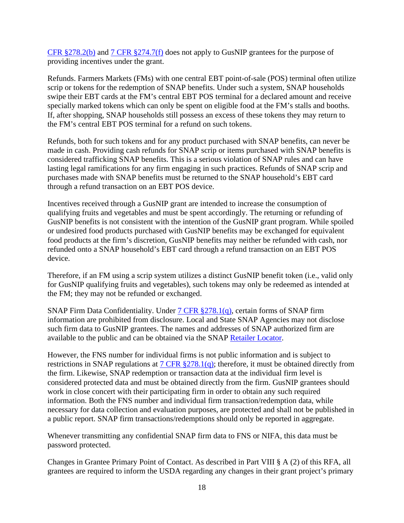CFR  $\S 278.2(b)$  and  $7$  CFR  $\S 274.7(f)$  does not apply to GusNIP grantees for the purpose of providing incentives under the grant.

Refunds. Farmers Markets (FMs) with one central EBT point-of-sale (POS) terminal often utilize scrip or tokens for the redemption of SNAP benefits. Under such a system, SNAP households swipe their EBT cards at the FM's central EBT POS terminal for a declared amount and receive specially marked tokens which can only be spent on eligible food at the FM's stalls and booths. If, after shopping, SNAP households still possess an excess of these tokens they may return to the FM's central EBT POS terminal for a refund on such tokens.

Refunds, both for such tokens and for any product purchased with SNAP benefits, can never be made in cash. Providing cash refunds for SNAP scrip or items purchased with SNAP benefits is considered trafficking SNAP benefits. This is a serious violation of SNAP rules and can have lasting legal ramifications for any firm engaging in such practices. Refunds of SNAP scrip and purchases made with SNAP benefits must be returned to the SNAP household's EBT card through a refund transaction on an EBT POS device.

Incentives received through a GusNIP grant are intended to increase the consumption of qualifying fruits and vegetables and must be spent accordingly. The returning or refunding of GusNIP benefits is not consistent with the intention of the GusNIP grant program. While spoiled or undesired food products purchased with GusNIP benefits may be exchanged for equivalent food products at the firm's discretion, GusNIP benefits may neither be refunded with cash, nor refunded onto a SNAP household's EBT card through a refund transaction on an EBT POS device.

Therefore, if an FM using a scrip system utilizes a distinct GusNIP benefit token (i.e., valid only for GusNIP qualifying fruits and vegetables), such tokens may only be redeemed as intended at the FM; they may not be refunded or exchanged.

SNAP Firm Data Confidentiality. Under [7 CFR §278.1\(q\),](https://www.ecfr.gov/cgi-bin/text-idx?SID=605b03c6e3d8b98a6b6c12e7245429c3&mc=true&node=pt7.4.278&rgn=div5#se7.4.278_11) certain forms of SNAP firm information are prohibited from disclosure. Local and State SNAP Agencies may not disclose such firm data to GusNIP grantees. The names and addresses of SNAP authorized firm are available to the public and can be obtained via the SNAP [Retailer Locator.](http://www.fns.usda.gov/snap/retailerlocator)

However, the FNS number for individual firms is not public information and is subject to restrictions in SNAP regulations at [7 CFR §278.1\(q\);](https://www.ecfr.gov/cgi-bin/text-idx?SID=605b03c6e3d8b98a6b6c12e7245429c3&mc=true&node=pt7.4.278&rgn=div5#se7.4.278_11) therefore, it must be obtained directly from the firm. Likewise, SNAP redemption or transaction data at the individual firm level is considered protected data and must be obtained directly from the firm. GusNIP grantees should work in close concert with their participating firm in order to obtain any such required information. Both the FNS number and individual firm transaction/redemption data, while necessary for data collection and evaluation purposes, are protected and shall not be published in a public report. SNAP firm transactions/redemptions should only be reported in aggregate.

Whenever transmitting any confidential SNAP firm data to FNS or NIFA, this data must be password protected.

Changes in Grantee Primary Point of Contact. As described in Part VIII § A (2) of this RFA, all grantees are required to inform the USDA regarding any changes in their grant project's primary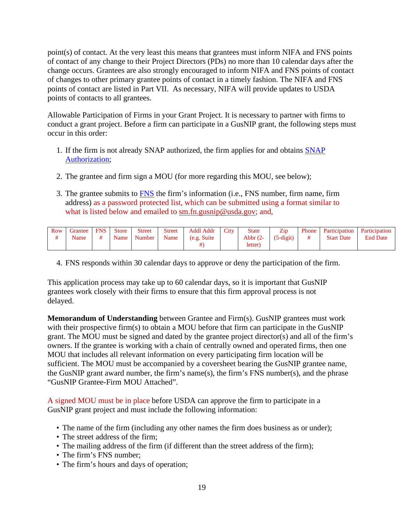point(s) of contact. At the very least this means that grantees must inform NIFA and FNS points of contact of any change to their Project Directors (PDs) no more than 10 calendar days after the change occurs. Grantees are also strongly encouraged to inform NIFA and FNS points of contact of changes to other primary grantee points of contact in a timely fashion. The NIFA and FNS points of contact are listed in Part VII. As necessary, NIFA will provide updates to USDA points of contacts to all grantees.

Allowable Participation of Firms in your Grant Project. It is necessary to partner with firms to conduct a grant project. Before a firm can participate in a GusNIP grant, the following steps must occur in this order:

- 1. If the firm is not already SNAP authorized, the firm applies for and obtains [SNAP](https://www.fns.usda.gov/snap/retailer-apply)  [Authorization;](https://www.fns.usda.gov/snap/retailer-apply)
- 2. The grantee and firm sign a MOU (for more regarding this MOU, see below);
- 3. The grantee submits to **FNS** the firm's information (i.e., [FNS](mailto:sm.fn.GusNIP@usda.gov) number, firm name, firm address) as a password protected list, which can be submitted using a format similar to what is listed below and emailed to [sm.fn.gusnip@usda.gov;](mailto:sm.fn.gusnip@usda.gov) and,

| Row | Grantee<br>Name | <b>FNS</b> | Store<br>Name 1 | <b>Street</b><br><b>Number</b> | Street<br>Name | Addl Addr<br>(e.g. Suite) | City | <b>State</b><br>Abbr $(2-$ | Zip<br>$(5-digit)$ | Phone 1 | <b>Participation</b><br><b>Start Date</b> | Participation<br><b>End Date</b> |
|-----|-----------------|------------|-----------------|--------------------------------|----------------|---------------------------|------|----------------------------|--------------------|---------|-------------------------------------------|----------------------------------|
|     |                 |            |                 |                                |                |                           |      | letter)                    |                    |         |                                           |                                  |

4. FNS responds within 30 calendar days to approve or deny the participation of the firm.

This application process may take up to 60 calendar days, so it is important that GusNIP grantees work closely with their firms to ensure that this firm approval process is not delayed.

**Memorandum of Understanding** between Grantee and Firm(s). GusNIP grantees must work with their prospective firm(s) to obtain a MOU before that firm can participate in the GusNIP grant. The MOU must be signed and dated by the grantee project director(s) and all of the firm's owners. If the grantee is working with a chain of centrally owned and operated firms, then one MOU that includes all relevant information on every participating firm location will be sufficient. The MOU must be accompanied by a coversheet bearing the GusNIP grantee name, the GusNIP grant award number, the firm's name(s), the firm's FNS number(s), and the phrase "GusNIP Grantee-Firm MOU Attached".

A signed MOU must be in place before USDA can approve the firm to participate in a GusNIP grant project and must include the following information:

- The name of the firm (including any other names the firm does business as or under);
- The street address of the firm;
- The mailing address of the firm (if different than the street address of the firm);
- The firm's FNS number;
- The firm's hours and days of operation;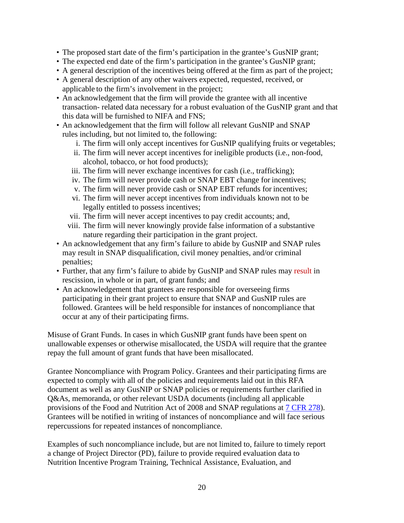- The proposed start date of the firm's participation in the grantee's GusNIP grant;
- The expected end date of the firm's participation in the grantee's GusNIP grant;
- A general description of the incentives being offered at the firm as part of the project;
- A general description of any other waivers expected, requested, received, or applicable to the firm's involvement in the project;
- An acknowledgement that the firm will provide the grantee with all incentive transaction- related data necessary for a robust evaluation of the GusNIP grant and that this data will be furnished to NIFA and FNS;
- An acknowledgement that the firm will follow all relevant GusNIP and SNAP rules including, but not limited to, the following:
	- i. The firm will only accept incentives for GusNIP qualifying fruits or vegetables;
	- ii. The firm will never accept incentives for ineligible products (i.e., non-food, alcohol, tobacco, or hot food products);
	- iii. The firm will never exchange incentives for cash (i.e., trafficking);
	- iv. The firm will never provide cash or SNAP EBT change for incentives;
	- v. The firm will never provide cash or SNAP EBT refunds for incentives;
	- vi. The firm will never accept incentives from individuals known not to be legally entitled to possess incentives;
	- vii. The firm will never accept incentives to pay credit accounts; and,
	- viii. The firm will never knowingly provide false information of a substantive nature regarding their participation in the grant project.
- An acknowledgement that any firm's failure to abide by GusNIP and SNAP rules may result in SNAP disqualification, civil money penalties, and/or criminal penalties;
- Further, that any firm's failure to abide by GusNIP and SNAP rules may result in rescission, in whole or in part, of grant funds; and
- An acknowledgement that grantees are responsible for overseeing firms participating in their grant project to ensure that SNAP and GusNIP rules are followed. Grantees will be held responsible for instances of noncompliance that occur at any of their participating firms.

Misuse of Grant Funds. In cases in which GusNIP grant funds have been spent on unallowable expenses or otherwise misallocated, the USDA will require that the grantee repay the full amount of grant funds that have been misallocated.

Grantee Noncompliance with Program Policy. Grantees and their participating firms are expected to comply with all of the policies and requirements laid out in this RFA document as well as any GusNIP or SNAP policies or requirements further clarified in Q&As, memoranda, or other relevant USDA documents (including all applicable provisions of the Food and Nutrition Act of 2008 and SNAP regulations at [7 CFR 278\)](https://www.ecfr.gov/cgi-bin/text-idx?SID=605b03c6e3d8b98a6b6c12e7245429c3&mc=true&node=pt7.4.278&rgn=div5). Grantees will be notified in writing of instances of noncompliance and will face serious repercussions for repeated instances of noncompliance.

Examples of such noncompliance include, but are not limited to, failure to timely report a change of Project Director (PD), failure to provide required evaluation data to Nutrition Incentive Program Training, Technical Assistance, Evaluation, and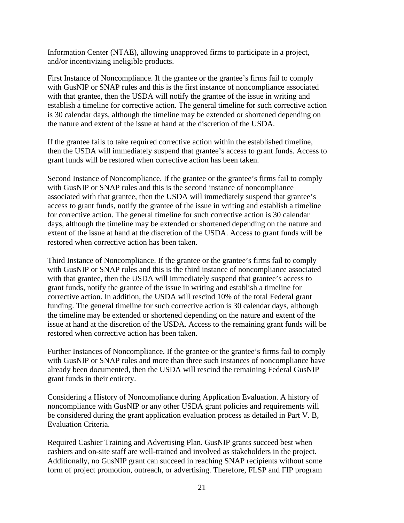Information Center (NTAE), allowing unapproved firms to participate in a project, and/or incentivizing ineligible products.

First Instance of Noncompliance. If the grantee or the grantee's firms fail to comply with GusNIP or SNAP rules and this is the first instance of noncompliance associated with that grantee, then the USDA will notify the grantee of the issue in writing and establish a timeline for corrective action. The general timeline for such corrective action is 30 calendar days, although the timeline may be extended or shortened depending on the nature and extent of the issue at hand at the discretion of the USDA.

If the grantee fails to take required corrective action within the established timeline, then the USDA will immediately suspend that grantee's access to grant funds. Access to grant funds will be restored when corrective action has been taken.

Second Instance of Noncompliance. If the grantee or the grantee's firms fail to comply with GusNIP or SNAP rules and this is the second instance of noncompliance associated with that grantee, then the USDA will immediately suspend that grantee's access to grant funds, notify the grantee of the issue in writing and establish a timeline for corrective action. The general timeline for such corrective action is 30 calendar days, although the timeline may be extended or shortened depending on the nature and extent of the issue at hand at the discretion of the USDA. Access to grant funds will be restored when corrective action has been taken.

Third Instance of Noncompliance. If the grantee or the grantee's firms fail to comply with GusNIP or SNAP rules and this is the third instance of noncompliance associated with that grantee, then the USDA will immediately suspend that grantee's access to grant funds, notify the grantee of the issue in writing and establish a timeline for corrective action. In addition, the USDA will rescind 10% of the total Federal grant funding. The general timeline for such corrective action is 30 calendar days, although the timeline may be extended or shortened depending on the nature and extent of the issue at hand at the discretion of the USDA. Access to the remaining grant funds will be restored when corrective action has been taken.

Further Instances of Noncompliance. If the grantee or the grantee's firms fail to comply with GusNIP or SNAP rules and more than three such instances of noncompliance have already been documented, then the USDA will rescind the remaining Federal GusNIP grant funds in their entirety.

Considering a History of Noncompliance during Application Evaluation. A history of noncompliance with GusNIP or any other USDA grant policies and requirements will be considered during the grant application evaluation process as detailed in Part V. B, Evaluation Criteria.

Required Cashier Training and Advertising Plan. GusNIP grants succeed best when cashiers and on-site staff are well-trained and involved as stakeholders in the project. Additionally, no GusNIP grant can succeed in reaching SNAP recipients without some form of project promotion, outreach, or advertising. Therefore, FLSP and FIP program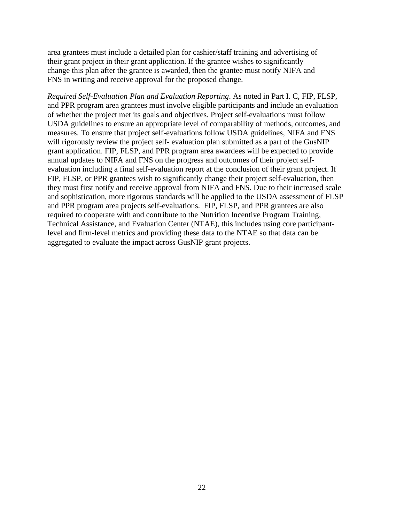area grantees must include a detailed plan for cashier/staff training and advertising of their grant project in their grant application. If the grantee wishes to significantly change this plan after the grantee is awarded, then the grantee must notify NIFA and FNS in writing and receive approval for the proposed change.

*Required Self-Evaluation Plan and Evaluation Reporting*. As noted in Part I. C, FIP, FLSP, and PPR program area grantees must involve eligible participants and include an evaluation of whether the project met its goals and objectives. Project self-evaluations must follow USDA guidelines to ensure an appropriate level of comparability of methods, outcomes, and measures. To ensure that project self-evaluations follow USDA guidelines, NIFA and FNS will rigorously review the project self- evaluation plan submitted as a part of the GusNIP grant application. FIP, FLSP, and PPR program area awardees will be expected to provide annual updates to NIFA and FNS on the progress and outcomes of their project selfevaluation including a final self-evaluation report at the conclusion of their grant project. If FIP, FLSP, or PPR grantees wish to significantly change their project self-evaluation, then they must first notify and receive approval from NIFA and FNS. Due to their increased scale and sophistication, more rigorous standards will be applied to the USDA assessment of FLSP and PPR program area projects self-evaluations. FIP, FLSP, and PPR grantees are also required to cooperate with and contribute to the Nutrition Incentive Program Training, Technical Assistance, and Evaluation Center (NTAE), this includes using core participantlevel and firm-level metrics and providing these data to the NTAE so that data can be aggregated to evaluate the impact across GusNIP grant projects.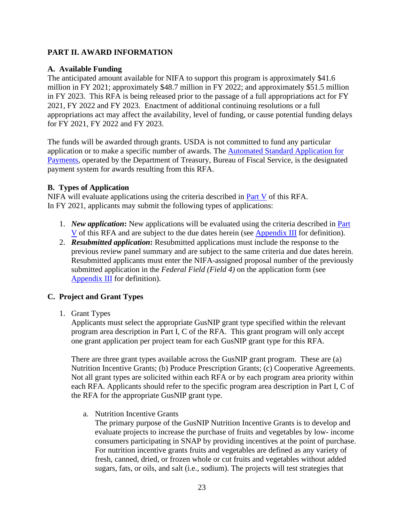## <span id="page-22-0"></span>**PART II. AWARD INFORMATION**

## <span id="page-22-1"></span>**A. Available Funding**

The anticipated amount available for NIFA to support this program is approximately \$41.6 million in FY 2021; approximately \$48.7 million in FY 2022; and approximately \$51.5 million in FY 2023. This RFA is being released prior to the passage of a full appropriations act for FY 2021, FY 2022 and FY 2023. Enactment of additional continuing resolutions or a full appropriations act may affect the availability, level of funding, or cause potential funding delays for FY 2021, FY 2022 and FY 2023.

The funds will be awarded through grants. USDA is not committed to fund any particular application or to make a specific number of awards. The [Automated Standard Application for](https://www.fiscal.treasury.gov/fsservices/gov/pmt/asap/asap_home.htm)  [Payments,](https://www.fiscal.treasury.gov/fsservices/gov/pmt/asap/asap_home.htm) operated by the Department of Treasury, Bureau of Fiscal Service, is the designated payment system for awards resulting from this RFA.

## <span id="page-22-2"></span>**B. Types of Application**

NIFA will evaluate applications using the criteria described in [Part V](#page-46-0) of this RFA. In FY 2021, applicants may submit the following types of applications:

- 1. *New application***:** New applications will be evaluated using the criteria described in [Part](#page-46-0)  [V](#page-46-0) of this RFA and are subject to the due dates herein (see [Appendix III](#page-55-0) for definition).
- 2. *Resubmitted application***:** Resubmitted applications must include the response to the previous review panel summary and are subject to the same criteria and due dates herein. Resubmitted applicants must enter the NIFA-assigned proposal number of the previously submitted application in the *Federal Field (Field 4)* on the application form (see [Appendix III](#page-55-0) for definition).

# <span id="page-22-3"></span>**C. Project and Grant Types**

1. Grant Types

Applicants must select the appropriate GusNIP grant type specified within the relevant program area description in Part I, C of the RFA. This grant program will only accept one grant application per project team for each GusNIP grant type for this RFA.

There are three grant types available across the GusNIP grant program. These are (a) Nutrition Incentive Grants; (b) Produce Prescription Grants; (c) Cooperative Agreements. Not all grant types are solicited within each RFA or by each program area priority within each RFA. Applicants should refer to the specific program area description in Part I, C of the RFA for the appropriate GusNIP grant type.

a. Nutrition Incentive Grants

The primary purpose of the GusNIP Nutrition Incentive Grants is to develop and evaluate projects to increase the purchase of fruits and vegetables by low- income consumers participating in SNAP by providing incentives at the point of purchase. For nutrition incentive grants fruits and vegetables are defined as any variety of fresh, canned, dried, or frozen whole or cut fruits and vegetables without added sugars, fats, or oils, and salt (i.e., sodium). The projects will test strategies that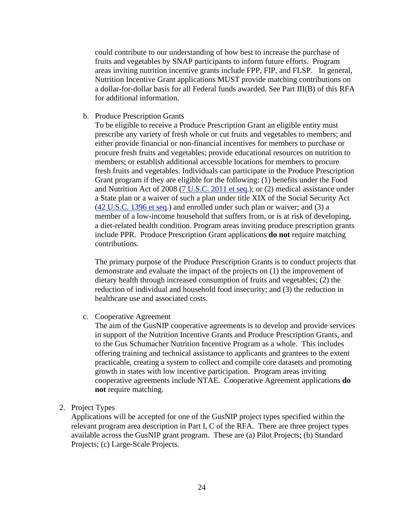could contribute to our understanding of how best to increase the purchase of fruits and vegetables by SNAP participants to inform future efforts. Program areas inviting nutrition incentive grants include FPP, FIP, and FLSP. In general, Nutrition Incentive Grant applications MUST provide matching contributions on a dollar-for-dollar basis for all Federal funds awarded. See Part III(B) of this RFA for additional information.

b. Produce Prescription Grants

To be eligible to receive a Produce Prescription Grant an eligible entity must prescribe any variety of fresh whole or cut fruits and vegetables to members; and either provide financial or non-financial incentives for members to purchase or procure fresh fruits and vegetables; provide educational resources on nutrition to members; or establish additional accessible locations for members to procure fresh fruits and vegetables. Individuals can participate in the Produce Prescription Grant program if they are eligible for the following: (1) benefits under the Food and Nutrition Act of 2008 [\(7 U.S.C. 2011 et seq.](https://uscode.house.gov/view.xhtml?req=(title:7%20section:2011%20et%20seq%20edition:prelim)%20OR%20(granuleid:USC-prelim-title7-section2011%20et%20seq)&f=treesort&edition=prelim&num=0&jumpTo=true)); or (2) medical assistance under a State plan or a waiver of such a plan under title XIX of the Social Security Act [\(42 U.S.C. 1396 et seq.](https://uscode.house.gov/view.xhtml?req=(title:42%20section:1396%20edition:prelim)%20OR%20(granuleid:USC-prelim-title42-section1396)&f=treesort&edition=prelim&num=0&jumpTo=true)) and enrolled under such plan or waiver; and (3) a member of a low-income household that suffers from, or is at risk of developing, a diet-related health condition. Program areas inviting produce prescription grants include PPR. Produce Prescription Grant applications **do not** require matching contributions.

The primary purpose of the Produce Prescription Grants is to conduct projects that demonstrate and evaluate the impact of the projects on (1) the improvement of dietary health through increased consumption of fruits and vegetables; (2) the reduction of individual and household food insecurity; and (3) the reduction in healthcare use and associated costs.

c. Cooperative Agreement

The aim of the GusNIP cooperative agreements is to develop and provide services in support of the Nutrition Incentive Grants and Produce Prescription Grants, and to the Gus Schumacher Nutrition Incentive Program as a whole. This includes offering training and technical assistance to applicants and grantees to the extent practicable, creating a system to collect and compile core datasets and promoting growth in states with low incentive participation. Program areas inviting cooperative agreements include NTAE. Cooperative Agreement applications **do not** require matching.

2. Project Types

Applications will be accepted for one of the GusNIP project types specified within the relevant program area description in Part I, C of the RFA. There are three project types available across the GusNIP grant program. These are (a) Pilot Projects; (b) Standard Projects; (c) Large-Scale Projects.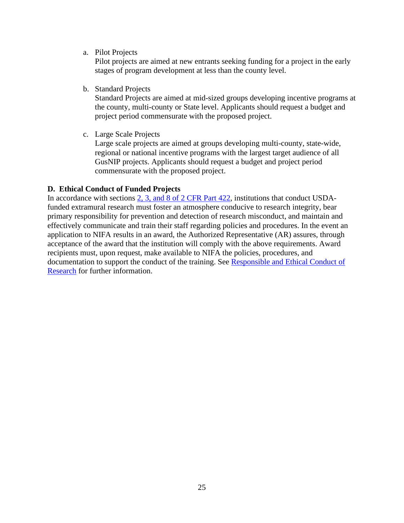a. Pilot Projects

Pilot projects are aimed at new entrants seeking funding for a project in the early stages of program development at less than the county level.

b. Standard Projects

Standard Projects are aimed at mid-sized groups developing incentive programs at the county, multi-county or State level. Applicants should request a budget and project period commensurate with the proposed project.

c. Large Scale Projects

Large scale projects are aimed at groups developing multi-county, state-wide, regional or national incentive programs with the largest target audience of all GusNIP projects. Applicants should request a budget and project period commensurate with the proposed project.

#### <span id="page-24-0"></span>**D. Ethical Conduct of Funded Projects**

In accordance with sections [2, 3, and 8 of 2 CFR Part 422,](https://www.ecfr.gov/cgi-bin/text-idx?SID=605b03c6e3d8b98a6b6c12e7245429c3&mc=true&node=pt2.1.422&rgn=div5) institutions that conduct USDAfunded extramural research must foster an atmosphere conducive to research integrity, bear primary responsibility for prevention and detection of research misconduct, and maintain and effectively communicate and train their staff regarding policies and procedures. In the event an application to NIFA results in an award, the Authorized Representative (AR) assures, through acceptance of the award that the institution will comply with the above requirements. Award recipients must, upon request, make available to NIFA the policies, procedures, and documentation to support the conduct of the training. See [Responsible and Ethical Conduct of](https://nifa.usda.gov/responsible-and-ethical-conduct-research)  [Research](https://nifa.usda.gov/responsible-and-ethical-conduct-research) for further information.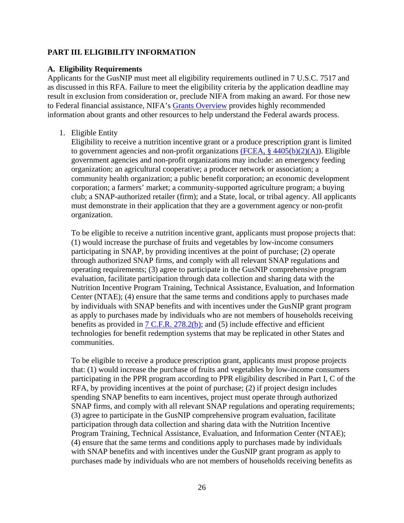#### <span id="page-25-0"></span>**PART III. ELIGIBILITY INFORMATION**

#### <span id="page-25-1"></span>**A. Eligibility Requirements**

Applicants for the GusNIP must meet all eligibility requirements outlined in 7 U.S.C. 7517 and as discussed in this RFA. Failure to meet the eligibility criteria by the application deadline may result in exclusion from consideration or, preclude NIFA from making an award. For those new to Federal financial assistance, NIFA's [Grants Overview](https://nifa.usda.gov/resource/grants-overview) provides highly recommended information about grants and other resources to help understand the Federal awards process.

#### 1. Eligible Entity

Eligibility to receive a nutrition incentive grant or a produce prescription grant is limited to government agencies and non-profit organizations (FCEA,  $\S$  4405(b)(2)(A)). Eligible government agencies and non-profit organizations may include: an emergency feeding organization; an agricultural cooperative; a producer network or association; a community health organization; a public benefit corporation; an economic development corporation; a farmers' market; a community-supported agriculture program; a buying club; a SNAP-authorized retailer (firm); and a State, local, or tribal agency. All applicants must demonstrate in their application that they are a government agency or non-profit organization.

To be eligible to receive a nutrition incentive grant, applicants must propose projects that: (1) would increase the purchase of fruits and vegetables by low-income consumers participating in SNAP, by providing incentives at the point of purchase; (2) operate through authorized SNAP firms, and comply with all relevant SNAP regulations and operating requirements; (3) agree to participate in the GusNIP comprehensive program evaluation, facilitate participation through data collection and sharing data with the Nutrition Incentive Program Training, Technical Assistance, Evaluation, and Information Center (NTAE); (4) ensure that the same terms and conditions apply to purchases made by individuals with SNAP benefits and with incentives under the GusNIP grant program as apply to purchases made by individuals who are not members of households receiving benefits as provided in  $7 \text{ C.F.R. } 278.2(b)$ ; and (5) include effective and efficient technologies for benefit redemption systems that may be replicated in other States and communities.

To be eligible to receive a produce prescription grant, applicants must propose projects that: (1) would increase the purchase of fruits and vegetables by low-income consumers participating in the PPR program according to PPR eligibility described in Part I, C of the RFA, by providing incentives at the point of purchase; (2) if project design includes spending SNAP benefits to earn incentives, project must operate through authorized SNAP firms, and comply with all relevant SNAP regulations and operating requirements; (3) agree to participate in the GusNIP comprehensive program evaluation, facilitate participation through data collection and sharing data with the Nutrition Incentive Program Training, Technical Assistance, Evaluation, and Information Center (NTAE); (4) ensure that the same terms and conditions apply to purchases made by individuals with SNAP benefits and with incentives under the GusNIP grant program as apply to purchases made by individuals who are not members of households receiving benefits as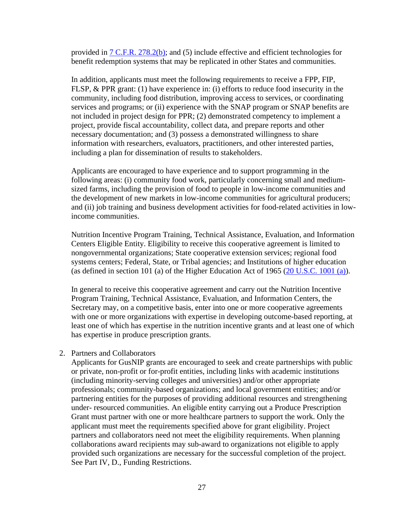provided in  $7 \text{ C.F.R. } 278.2(b)$ ; and  $(5)$  include effective and efficient technologies for benefit redemption systems that may be replicated in other States and communities.

In addition, applicants must meet the following requirements to receive a FPP, FIP, FLSP, & PPR grant: (1) have experience in: (i) efforts to reduce food insecurity in the community, including food distribution, improving access to services, or coordinating services and programs; or (ii) experience with the SNAP program or SNAP benefits are not included in project design for PPR; (2) demonstrated competency to implement a project, provide fiscal accountability, collect data, and prepare reports and other necessary documentation; and (3) possess a demonstrated willingness to share information with researchers, evaluators, practitioners, and other interested parties, including a plan for dissemination of results to stakeholders.

Applicants are encouraged to have experience and to support programming in the following areas: (i) community food work, particularly concerning small and mediumsized farms, including the provision of food to people in low-income communities and the development of new markets in low-income communities for agricultural producers; and (ii) job training and business development activities for food-related activities in lowincome communities.

Nutrition Incentive Program Training, Technical Assistance, Evaluation, and Information Centers Eligible Entity. Eligibility to receive this cooperative agreement is limited to nongovernmental organizations; State cooperative extension services; regional food systems centers; Federal, State, or Tribal agencies; and Institutions of higher education (as defined in section 101 (a) of the Higher Education Act of 1965 [\(20 U.S.C. 1001 \(a\)\)](https://uscode.house.gov/view.xhtml?req=(title:20%20section:1001%20edition:prelim)%20OR%20(granuleid:USC-prelim-title20-section1001)&f=treesort&edition=prelim&num=0&jumpTo=true).

In general to receive this cooperative agreement and carry out the Nutrition Incentive Program Training, Technical Assistance, Evaluation, and Information Centers, the Secretary may, on a competitive basis, enter into one or more cooperative agreements with one or more organizations with expertise in developing outcome-based reporting, at least one of which has expertise in the nutrition incentive grants and at least one of which has expertise in produce prescription grants.

#### 2. Partners and Collaborators

Applicants for GusNIP grants are encouraged to seek and create partnerships with public or private, non-profit or for-profit entities, including links with academic institutions (including minority-serving colleges and universities) and/or other appropriate professionals; community-based organizations; and local government entities; and/or partnering entities for the purposes of providing additional resources and strengthening under- resourced communities. An eligible entity carrying out a Produce Prescription Grant must partner with one or more healthcare partners to support the work. Only the applicant must meet the requirements specified above for grant eligibility. Project partners and collaborators need not meet the eligibility requirements. When planning collaborations award recipients may sub-award to organizations not eligible to apply provided such organizations are necessary for the successful completion of the project. See Part IV, D., Funding Restrictions.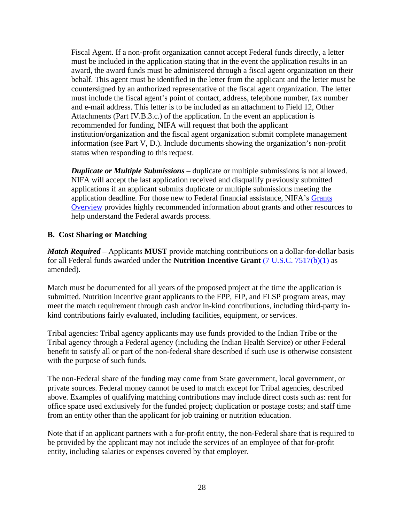Fiscal Agent. If a non-profit organization cannot accept Federal funds directly, a letter must be included in the application stating that in the event the application results in an award, the award funds must be administered through a fiscal agent organization on their behalf. This agent must be identified in the letter from the applicant and the letter must be countersigned by an authorized representative of the fiscal agent organization. The letter must include the fiscal agent's point of contact, address, telephone number, fax number and e-mail address. This letter is to be included as an attachment to Field 12, Other Attachments (Part IV.B.3.c.) of the application. In the event an application is recommended for funding, NIFA will request that both the applicant institution/organization and the fiscal agent organization submit complete management information (see Part V, D.). Include documents showing the organization's non-profit status when responding to this request.

*Duplicate or Multiple Submissions* – duplicate or multiple submissions is not allowed. NIFA will accept the last application received and disqualify previously submitted applications if an applicant submits duplicate or multiple submissions meeting the application deadline. For those new to Federal financial assistance, NIFA's [Grants](https://nifa.usda.gov/resource/grants-overview)  [Overview](https://nifa.usda.gov/resource/grants-overview) provides highly recommended information about grants and other resources to help understand the Federal awards process.

## <span id="page-27-0"></span>**B. Cost Sharing or Matching**

*Match Required* – Applicants **MUST** provide matching contributions on a dollar-for-dollar basis for all Federal funds awarded under the **Nutrition Incentive Grant** [\(7 U.S.C. 7517\(b\)\(1\)](https://uscode.house.gov/view.xhtml?req=(title:7%20section:7517%20edition:prelim)%20OR%20(granuleid:USC-prelim-title7-section7517)&f=treesort&edition=prelim&num=0&jumpTo=true) as amended).

Match must be documented for all years of the proposed project at the time the application is submitted. Nutrition incentive grant applicants to the FPP, FIP, and FLSP program areas, may meet the match requirement through cash and/or in-kind contributions, including third-party inkind contributions fairly evaluated, including facilities, equipment, or services.

Tribal agencies: Tribal agency applicants may use funds provided to the Indian Tribe or the Tribal agency through a Federal agency (including the Indian Health Service) or other Federal benefit to satisfy all or part of the non-federal share described if such use is otherwise consistent with the purpose of such funds.

The non-Federal share of the funding may come from State government, local government, or private sources. Federal money cannot be used to match except for Tribal agencies, described above. Examples of qualifying matching contributions may include direct costs such as: rent for office space used exclusively for the funded project; duplication or postage costs; and staff time from an entity other than the applicant for job training or nutrition education.

Note that if an applicant partners with a for-profit entity, the non-Federal share that is required to be provided by the applicant may not include the services of an employee of that for-profit entity, including salaries or expenses covered by that employer.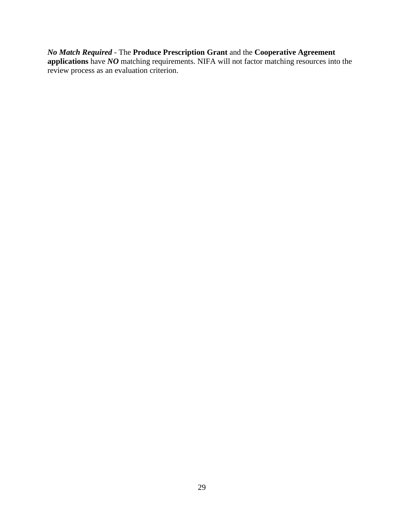#### *No Match Required* - The **Produce Prescription Grant** and the **Cooperative Agreement**

**applications** have *NO* matching requirements. NIFA will not factor matching resources into the review process as an evaluation criterion.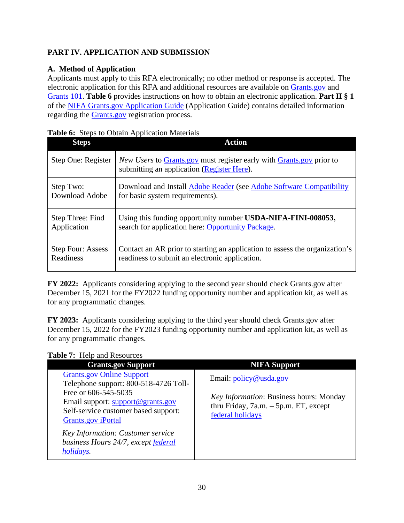# <span id="page-29-0"></span>**PART IV. APPLICATION AND SUBMISSION**

# <span id="page-29-1"></span>**A. Method of Application**

Applicants must apply to this RFA electronically; no other method or response is accepted. The electronic application for this RFA and additional resources are available on [Grants.gov](https://www.grants.gov/) and [Grants 101.](https://www.grants.gov/web/grants/learn-grants/grants-101/pre-award-phase.html/) **Table 6** provides instructions on how to obtain an electronic application. **Part II § 1** of the [NIFA Grants.gov Application Guide](https://apply07.grants.gov/apply/opportunities/instructions/PKG00249520-instructions.pdf) (Application Guide) contains detailed information regarding the [Grants.gov](https://www.grants.gov/) registration process.

| <b>Steps</b>             | <b>Action</b>                                                                                                             |
|--------------------------|---------------------------------------------------------------------------------------------------------------------------|
| Step One: Register       | <i>New Users</i> to Grants.gov must register early with Grants.gov prior to<br>submitting an application (Register Here). |
| Step Two:                | Download and Install Adobe Reader (see Adobe Software Compatibility                                                       |
| Download Adobe           | for basic system requirements).                                                                                           |
| Step Three: Find         | Using this funding opportunity number USDA-NIFA-FINI-008053,                                                              |
| Application              | search for application here: Opportunity Package.                                                                         |
| <b>Step Four: Assess</b> | Contact an AR prior to starting an application to assess the organization's                                               |
| Readiness                | readiness to submit an electronic application.                                                                            |

<span id="page-29-2"></span>

|  |  |  | Table 6: Steps to Obtain Application Materials |  |
|--|--|--|------------------------------------------------|--|
|--|--|--|------------------------------------------------|--|

**FY 2022:** Applicants considering applying to the second year should check Grants.gov after December 15, 2021 for the FY2022 funding opportunity number and application kit, as well as for any programmatic changes.

**FY 2023:** Applicants considering applying to the third year should check Grants.gov after December 15, 2022 for the FY2023 funding opportunity number and application kit, as well as for any programmatic changes.

<span id="page-29-3"></span>

|  | Table 7: Help and Resources |
|--|-----------------------------|
|  |                             |

| <b>Grants.gov Support</b>                                                                                                                                                                                                                                                                            | <b>NIFA Support</b>                                                                                                                                 |
|------------------------------------------------------------------------------------------------------------------------------------------------------------------------------------------------------------------------------------------------------------------------------------------------------|-----------------------------------------------------------------------------------------------------------------------------------------------------|
| <b>Grants.gov Online Support</b><br>Telephone support: 800-518-4726 Toll-<br>Free or 606-545-5035<br>Email support: support@grants.gov<br>Self-service customer based support:<br><b>Grants.gov</b> iPortal<br>Key Information: Customer service<br>business Hours 24/7, except federal<br>holidays. | Email: $\text{policy} @$ usda.gov<br><i>Key Information: Business hours: Monday</i><br>thru Friday, $7a.m. - 5p.m. ET$ , except<br>federal holidays |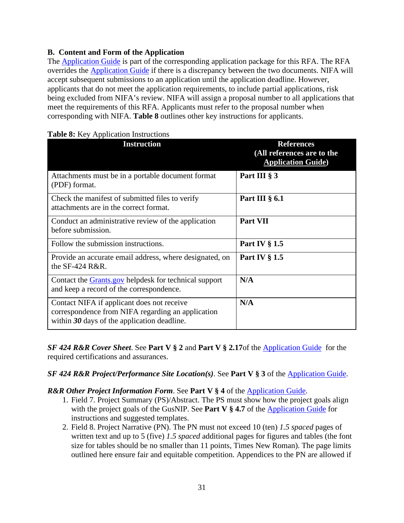## <span id="page-30-0"></span>**B. Content and Form of the Application**

The [Application Guide](https://apply07.grants.gov/apply/opportunities/instructions/PKG00249520-instructions.pdf) is part of the corresponding application package for this RFA. The RFA overrides the [Application Guide](https://apply07.grants.gov/apply/opportunities/instructions/PKG00249520-instructions.pdf) if there is a discrepancy between the two documents. NIFA will accept subsequent submissions to an application until the application deadline. However, applicants that do not meet the application requirements, to include partial applications, risk being excluded from NIFA's review. NIFA will assign a proposal number to all applications that meet the requirements of this RFA. Applicants must refer to the proposal number when corresponding with NIFA. **Table 8** outlines other key instructions for applicants.

| <b>Instruction</b>                                                                                                                               | <b>References</b><br>(All references are to the<br><b>Application Guide</b> ) |
|--------------------------------------------------------------------------------------------------------------------------------------------------|-------------------------------------------------------------------------------|
| Attachments must be in a portable document format<br>(PDF) format.                                                                               | Part III § 3                                                                  |
| Check the manifest of submitted files to verify<br>attachments are in the correct format.                                                        | Part III $\S$ 6.1                                                             |
| Conduct an administrative review of the application<br>before submission.                                                                        | Part VII                                                                      |
| Follow the submission instructions.                                                                                                              | Part IV § 1.5                                                                 |
| Provide an accurate email address, where designated, on<br>the $SF-424$ R&R.                                                                     | <b>Part IV § 1.5</b>                                                          |
| Contact the Grants.gov helpdesk for technical support<br>and keep a record of the correspondence.                                                | N/A                                                                           |
| Contact NIFA if applicant does not receive<br>correspondence from NIFA regarding an application<br>within $30$ days of the application deadline. | N/A                                                                           |

#### <span id="page-30-1"></span>**Table 8:** Key Application Instructions

*SF 424 R&R Cover Sheet*. See **Part V § 2** and **Part V § 2.17**of the [Application Guide](https://apply07.grants.gov/apply/opportunities/instructions/PKG00249520-instructions.pdf) for the required certifications and assurances.

*SF 424 R&R Project/Performance Site Location(s)*. See **Part V § 3** of the [Application Guide.](https://apply07.grants.gov/apply/opportunities/instructions/PKG00249520-instructions.pdf)

## *R&R Other Project Information Form*. See **Part V § 4** of the [Application Guide.](https://apply07.grants.gov/apply/opportunities/instructions/PKG00249520-instructions.pdf)

- 1. Field 7. Project Summary (PS)/Abstract. The PS must show how the project goals align with the project goals of the GusNIP. See **Part V § 4.7** of the **Application Guide** for instructions and suggested templates.
- 2. Field 8. Project Narrative (PN). The PN must not exceed 10 (ten) *1.5 spaced* pages of written text and up to 5 (five) *1.5 spaced* additional pages for figures and tables (the font size for tables should be no smaller than 11 points, Times New Roman). The page limits outlined here ensure fair and equitable competition. Appendices to the PN are allowed if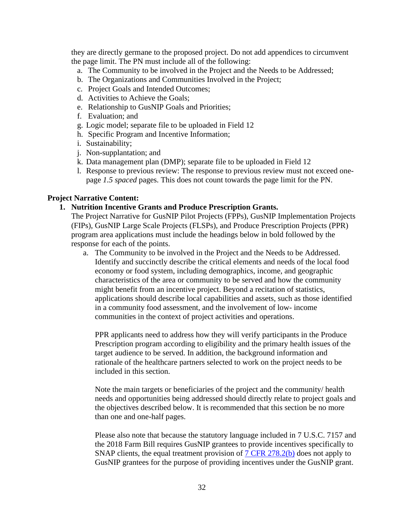they are directly germane to the proposed project. Do not add appendices to circumvent the page limit. The PN must include all of the following:

- a. The Community to be involved in the Project and the Needs to be Addressed;
- b. The Organizations and Communities Involved in the Project;
- c. Project Goals and Intended Outcomes;
- d. Activities to Achieve the Goals;
- e. Relationship to GusNIP Goals and Priorities;
- f. Evaluation; and
- g. Logic model; separate file to be uploaded in Field 12
- h. Specific Program and Incentive Information;
- i. Sustainability;
- j. Non-supplantation; and
- k. Data management plan (DMP); separate file to be uploaded in Field 12
- l. Response to previous review: The response to previous review must not exceed onepage *1.5 spaced* pages. This does not count towards the page limit for the PN.

#### **Project Narrative Content:**

#### **1. Nutrition Incentive Grants and Produce Prescription Grants.**

The Project Narrative for GusNIP Pilot Projects (FPPs), GusNIP Implementation Projects (FIPs), GusNIP Large Scale Projects (FLSPs), and Produce Prescription Projects (PPR) program area applications must include the headings below in bold followed by the response for each of the points.

a. The Community to be involved in the Project and the Needs to be Addressed. Identify and succinctly describe the critical elements and needs of the local food economy or food system, including demographics, income, and geographic characteristics of the area or community to be served and how the community might benefit from an incentive project. Beyond a recitation of statistics, applications should describe local capabilities and assets, such as those identified in a community food assessment, and the involvement of low- income communities in the context of project activities and operations.

PPR applicants need to address how they will verify participants in the Produce Prescription program according to eligibility and the primary health issues of the target audience to be served. In addition, the background information and rationale of the healthcare partners selected to work on the project needs to be included in this section.

Note the main targets or beneficiaries of the project and the community/ health needs and opportunities being addressed should directly relate to project goals and the objectives described below. It is recommended that this section be no more than one and one-half pages.

Please also note that because the statutory language included in 7 U.S.C. 7157 and the 2018 Farm Bill requires GusNIP grantees to provide incentives specifically to SNAP clients, the equal treatment provision of [7 CFR 278.2\(b\)](https://www.ecfr.gov/cgi-bin/text-idx?SID=5c97c4e40546e12d0ac9184ce93a316e&mc=true&node=pt7.4.278&rgn=div5#se7.4.278_12) does not apply to GusNIP grantees for the purpose of providing incentives under the GusNIP grant.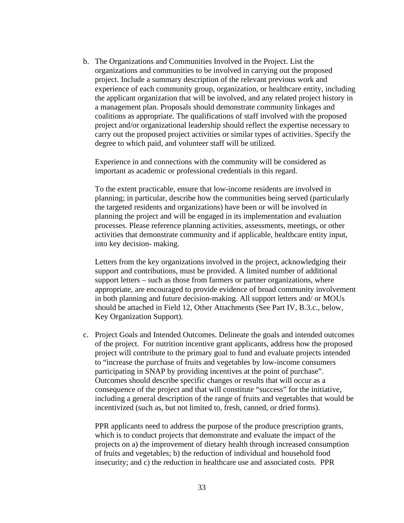b. The Organizations and Communities Involved in the Project. List the organizations and communities to be involved in carrying out the proposed project. Include a summary description of the relevant previous work and experience of each community group, organization, or healthcare entity, including the applicant organization that will be involved, and any related project history in a management plan. Proposals should demonstrate community linkages and coalitions as appropriate. The qualifications of staff involved with the proposed project and/or organizational leadership should reflect the expertise necessary to carry out the proposed project activities or similar types of activities. Specify the degree to which paid, and volunteer staff will be utilized.

Experience in and connections with the community will be considered as important as academic or professional credentials in this regard.

To the extent practicable, ensure that low-income residents are involved in planning; in particular, describe how the communities being served (particularly the targeted residents and organizations) have been or will be involved in planning the project and will be engaged in its implementation and evaluation processes. Please reference planning activities, assessments, meetings, or other activities that demonstrate community and if applicable, healthcare entity input, into key decision- making.

Letters from the key organizations involved in the project, acknowledging their support and contributions, must be provided. A limited number of additional support letters – such as those from farmers or partner organizations, where appropriate, are encouraged to provide evidence of broad community involvement in both planning and future decision-making. All support letters and/ or MOUs should be attached in Field 12, Other Attachments (See Part IV, B.3.c., below, Key Organization Support).

c. Project Goals and Intended Outcomes. Delineate the goals and intended outcomes of the project. For nutrition incentive grant applicants, address how the proposed project will contribute to the primary goal to fund and evaluate projects intended to "increase the purchase of fruits and vegetables by low-income consumers participating in SNAP by providing incentives at the point of purchase". Outcomes should describe specific changes or results that will occur as a consequence of the project and that will constitute "success" for the initiative, including a general description of the range of fruits and vegetables that would be incentivized (such as, but not limited to, fresh, canned, or dried forms).

PPR applicants need to address the purpose of the produce prescription grants, which is to conduct projects that demonstrate and evaluate the impact of the projects on a) the improvement of dietary health through increased consumption of fruits and vegetables; b) the reduction of individual and household food insecurity; and c) the reduction in healthcare use and associated costs. PPR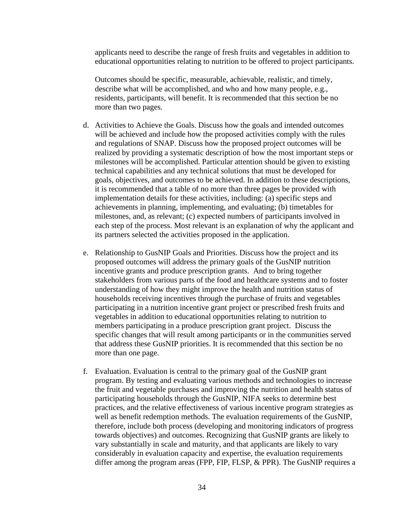applicants need to describe the range of fresh fruits and vegetables in addition to educational opportunities relating to nutrition to be offered to project participants.

Outcomes should be specific, measurable, achievable, realistic, and timely, describe what will be accomplished, and who and how many people, e.g., residents, participants, will benefit. It is recommended that this section be no more than two pages.

- d. Activities to Achieve the Goals. Discuss how the goals and intended outcomes will be achieved and include how the proposed activities comply with the rules and regulations of SNAP. Discuss how the proposed project outcomes will be realized by providing a systematic description of how the most important steps or milestones will be accomplished. Particular attention should be given to existing technical capabilities and any technical solutions that must be developed for goals, objectives, and outcomes to be achieved. In addition to these descriptions, it is recommended that a table of no more than three pages be provided with implementation details for these activities, including: (a) specific steps and achievements in planning, implementing, and evaluating; (b) timetables for milestones, and, as relevant; (c) expected numbers of participants involved in each step of the process. Most relevant is an explanation of why the applicant and its partners selected the activities proposed in the application.
- e. Relationship to GusNIP Goals and Priorities. Discuss how the project and its proposed outcomes will address the primary goals of the GusNIP nutrition incentive grants and produce prescription grants. And to bring together stakeholders from various parts of the food and healthcare systems and to foster understanding of how they might improve the health and nutrition status of households receiving incentives through the purchase of fruits and vegetables participating in a nutrition incentive grant project or prescribed fresh fruits and vegetables in addition to educational opportunities relating to nutrition to members participating in a produce prescription grant project. Discuss the specific changes that will result among participants or in the communities served that address these GusNIP priorities. It is recommended that this section be no more than one page.
- f. Evaluation. Evaluation is central to the primary goal of the GusNIP grant program. By testing and evaluating various methods and technologies to increase the fruit and vegetable purchases and improving the nutrition and health status of participating households through the GusNIP, NIFA seeks to determine best practices, and the relative effectiveness of various incentive program strategies as well as benefit redemption methods. The evaluation requirements of the GusNIP, therefore, include both process (developing and monitoring indicators of progress towards objectives) and outcomes. Recognizing that GusNIP grants are likely to vary substantially in scale and maturity, and that applicants are likely to vary considerably in evaluation capacity and expertise, the evaluation requirements differ among the program areas (FPP, FIP, FLSP, & PPR). The GusNIP requires a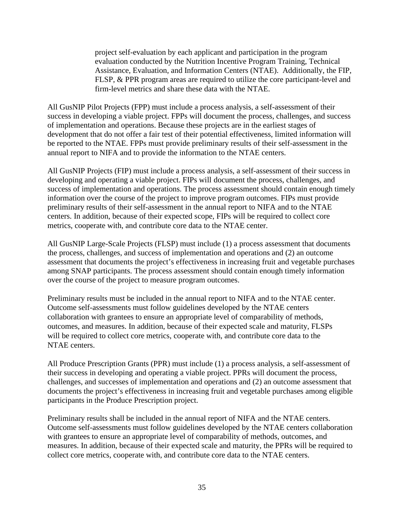project self-evaluation by each applicant and participation in the program evaluation conducted by the Nutrition Incentive Program Training, Technical Assistance, Evaluation, and Information Centers (NTAE). Additionally, the FIP, FLSP, & PPR program areas are required to utilize the core participant-level and firm-level metrics and share these data with the NTAE.

All GusNIP Pilot Projects (FPP) must include a process analysis, a self-assessment of their success in developing a viable project. FPPs will document the process, challenges, and success of implementation and operations. Because these projects are in the earliest stages of development that do not offer a fair test of their potential effectiveness, limited information will be reported to the NTAE. FPPs must provide preliminary results of their self-assessment in the annual report to NIFA and to provide the information to the NTAE centers.

All GusNIP Projects (FIP) must include a process analysis, a self-assessment of their success in developing and operating a viable project. FIPs will document the process, challenges, and success of implementation and operations. The process assessment should contain enough timely information over the course of the project to improve program outcomes. FIPs must provide preliminary results of their self-assessment in the annual report to NIFA and to the NTAE centers. In addition, because of their expected scope, FIPs will be required to collect core metrics, cooperate with, and contribute core data to the NTAE center.

All GusNIP Large-Scale Projects (FLSP) must include (1) a process assessment that documents the process, challenges, and success of implementation and operations and (2) an outcome assessment that documents the project's effectiveness in increasing fruit and vegetable purchases among SNAP participants. The process assessment should contain enough timely information over the course of the project to measure program outcomes.

Preliminary results must be included in the annual report to NIFA and to the NTAE center. Outcome self-assessments must follow guidelines developed by the NTAE centers collaboration with grantees to ensure an appropriate level of comparability of methods, outcomes, and measures. In addition, because of their expected scale and maturity, FLSPs will be required to collect core metrics, cooperate with, and contribute core data to the NTAE centers.

All Produce Prescription Grants (PPR) must include (1) a process analysis, a self-assessment of their success in developing and operating a viable project. PPRs will document the process, challenges, and successes of implementation and operations and (2) an outcome assessment that documents the project's effectiveness in increasing fruit and vegetable purchases among eligible participants in the Produce Prescription project.

Preliminary results shall be included in the annual report of NIFA and the NTAE centers. Outcome self-assessments must follow guidelines developed by the NTAE centers collaboration with grantees to ensure an appropriate level of comparability of methods, outcomes, and measures. In addition, because of their expected scale and maturity, the PPRs will be required to collect core metrics, cooperate with, and contribute core data to the NTAE centers.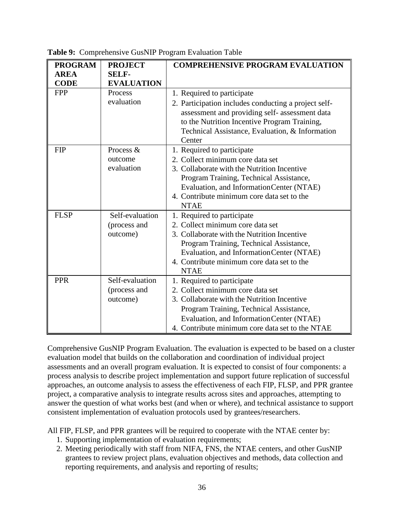| <b>PROGRAM</b> | <b>PROJECT</b>    | <b>COMPREHENSIVE PROGRAM EVALUATION</b>              |
|----------------|-------------------|------------------------------------------------------|
| <b>AREA</b>    | <b>SELF-</b>      |                                                      |
| <b>CODE</b>    | <b>EVALUATION</b> |                                                      |
| <b>FPP</b>     | Process           | 1. Required to participate                           |
|                | evaluation        | 2. Participation includes conducting a project self- |
|                |                   | assessment and providing self- assessment data       |
|                |                   | to the Nutrition Incentive Program Training,         |
|                |                   | Technical Assistance, Evaluation, & Information      |
|                |                   | Center                                               |
| <b>FIP</b>     | Process &         | 1. Required to participate                           |
|                | outcome           | 2. Collect minimum core data set                     |
|                | evaluation        | 3. Collaborate with the Nutrition Incentive          |
|                |                   | Program Training, Technical Assistance,              |
|                |                   | Evaluation, and Information Center (NTAE)            |
|                |                   | 4. Contribute minimum core data set to the           |
|                |                   | <b>NTAE</b>                                          |
| <b>FLSP</b>    | Self-evaluation   | 1. Required to participate                           |
|                | (process and      | 2. Collect minimum core data set                     |
|                | outcome)          | 3. Collaborate with the Nutrition Incentive          |
|                |                   | Program Training, Technical Assistance,              |
|                |                   | Evaluation, and Information Center (NTAE)            |
|                |                   | 4. Contribute minimum core data set to the           |
|                |                   | <b>NTAE</b>                                          |
| <b>PPR</b>     | Self-evaluation   | 1. Required to participate                           |
|                | (process and      | 2. Collect minimum core data set                     |
|                | outcome)          | 3. Collaborate with the Nutrition Incentive          |
|                |                   | Program Training, Technical Assistance,              |
|                |                   | Evaluation, and Information Center (NTAE)            |
|                |                   | 4. Contribute minimum core data set to the NTAE      |

<span id="page-35-0"></span>**Table 9:** Comprehensive GusNIP Program Evaluation Table

Comprehensive GusNIP Program Evaluation. The evaluation is expected to be based on a cluster evaluation model that builds on the collaboration and coordination of individual project assessments and an overall program evaluation. It is expected to consist of four components: a process analysis to describe project implementation and support future replication of successful approaches, an outcome analysis to assess the effectiveness of each FIP, FLSP, and PPR grantee project, a comparative analysis to integrate results across sites and approaches, attempting to answer the question of what works best (and when or where), and technical assistance to support consistent implementation of evaluation protocols used by grantees/researchers.

All FIP, FLSP, and PPR grantees will be required to cooperate with the NTAE center by:

- 1. Supporting implementation of evaluation requirements;
- 2. Meeting periodically with staff from NIFA, FNS, the NTAE centers, and other GusNIP grantees to review project plans, evaluation objectives and methods, data collection and reporting requirements, and analysis and reporting of results;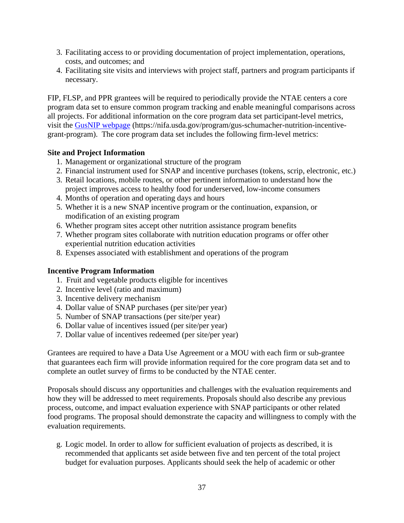- 3. Facilitating access to or providing documentation of project implementation, operations, costs, and outcomes; and
- 4. Facilitating site visits and interviews with project staff, partners and program participants if necessary.

FIP, FLSP, and PPR grantees will be required to periodically provide the NTAE centers a core program data set to ensure common program tracking and enable meaningful comparisons across all projects. For additional information on the core program data set participant-level metrics, visit the [GusNIP webpage](https://nifa.usda.gov/program/gus-schumacher-nutrition-incentive-grant-program) (https://nifa.usda.gov/program/gus-schumacher-nutrition-incentivegrant-program). The core program data set includes the following firm-level metrics:

#### **Site and Project Information**

- 1. Management or organizational structure of the program
- 2. Financial instrument used for SNAP and incentive purchases (tokens, scrip, electronic, etc.)
- 3. Retail locations, mobile routes, or other pertinent information to understand how the project improves access to healthy food for underserved, low-income consumers
- 4. Months of operation and operating days and hours
- 5. Whether it is a new SNAP incentive program or the continuation, expansion, or modification of an existing program
- 6. Whether program sites accept other nutrition assistance program benefits
- 7. Whether program sites collaborate with nutrition education programs or offer other experiential nutrition education activities
- 8. Expenses associated with establishment and operations of the program

#### **Incentive Program Information**

- 1. Fruit and vegetable products eligible for incentives
- 2. Incentive level (ratio and maximum)
- 3. Incentive delivery mechanism
- 4. Dollar value of SNAP purchases (per site/per year)
- 5. Number of SNAP transactions (per site/per year)
- 6. Dollar value of incentives issued (per site/per year)
- 7. Dollar value of incentives redeemed (per site/per year)

Grantees are required to have a Data Use Agreement or a MOU with each firm or sub-grantee that guarantees each firm will provide information required for the core program data set and to complete an outlet survey of firms to be conducted by the NTAE center.

Proposals should discuss any opportunities and challenges with the evaluation requirements and how they will be addressed to meet requirements. Proposals should also describe any previous process, outcome, and impact evaluation experience with SNAP participants or other related food programs. The proposal should demonstrate the capacity and willingness to comply with the evaluation requirements.

g. Logic model. In order to allow for sufficient evaluation of projects as described, it is recommended that applicants set aside between five and ten percent of the total project budget for evaluation purposes. Applicants should seek the help of academic or other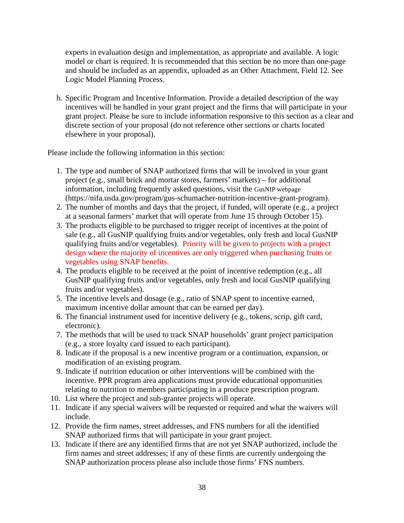experts in evaluation design and implementation, as appropriate and available. A logic model or chart is required. It is recommended that this section be no more than one-page and should be included as an appendix, uploaded as an Other Attachment, Field 12. See Logic Model Planning Process.

h. Specific Program and Incentive Information. Provide a detailed description of the way incentives will be handled in your grant project and the firms that will participate in your grant project. Please be sure to include information responsive to this section as a clear and discrete section of your proposal (do not reference other sections or charts located elsewhere in your proposal).

Please include the following information in this section:

- 1. The type and number of SNAP authorized firms that will be involved in your grant project (e.g., small brick and mortar stores, farmers' markets) – for additional information, including frequently asked questions, visit the [GusNIP webpage](https://nifa.usda.gov/program/gus-schumacher-nutrition-incentive-grant-program) (https://nifa.usda.gov/program/gus-schumacher-nutrition-incentive-grant-program).
- 2. The number of months and days that the project, if funded, will operate (e.g., a project at a seasonal farmers' market that will operate from June 15 through October 15).
- 3. The products eligible to be purchased to trigger receipt of incentives at the point of sale (e.g., all GusNIP qualifying fruits and/or vegetables, only fresh and local GusNIP qualifying fruits and/or vegetables). Priority will be given to projects with a project design where the majority of incentives are only triggered when purchasing fruits or vegetables using SNAP benefits.
- 4. The products eligible to be received at the point of incentive redemption (e.g., all GusNIP qualifying fruits and/or vegetables, only fresh and local GusNIP qualifying fruits and/or vegetables).
- 5. The incentive levels and dosage (e.g., ratio of SNAP spent to incentive earned, maximum incentive dollar amount that can be earned per day).
- 6. The financial instrument used for incentive delivery (e.g., tokens, scrip, gift card, electronic).
- 7. The methods that will be used to track SNAP households' grant project participation (e.g., a store loyalty card issued to each participant).
- 8. Indicate if the proposal is a new incentive program or a continuation, expansion, or modification of an existing program.
- 9. Indicate if nutrition education or other interventions will be combined with the incentive. PPR program area applications must provide educational opportunities relating to nutrition to members participating in a produce prescription program.
- 10. List where the project and sub-grantee projects will operate.
- 11. Indicate if any special waivers will be requested or required and what the waivers will include.
- 12. Provide the firm names, street addresses, and FNS numbers for all the identified SNAP authorized firms that will participate in your grant project.
- 13. Indicate if there are any identified firms that are not yet SNAP authorized, include the firm names and street addresses; if any of these firms are currently undergoing the SNAP authorization process please also include those firms' FNS numbers.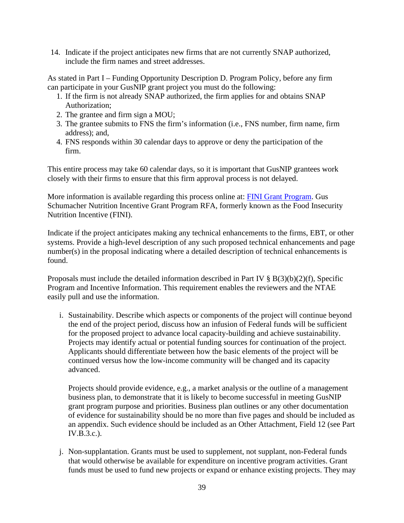14. Indicate if the project anticipates new firms that are not currently SNAP authorized, include the firm names and street addresses.

As stated in Part I – Funding Opportunity Description D. Program Policy, before any firm can participate in your GusNIP grant project you must do the following:

- 1. If the firm is not already SNAP authorized, the firm applies for and obtains SNAP Authorization;
- 2. The grantee and firm sign a MOU;
- 3. The grantee submits to FNS the firm's information (i.e., FNS number, firm name, firm address); and,
- 4. FNS responds within 30 calendar days to approve or deny the participation of the firm.

This entire process may take 60 calendar days, so it is important that GusNIP grantees work closely with their firms to ensure that this firm approval process is not delayed.

More information is available regarding this process online at: [FINI Grant Program.](https://www.fns.usda.gov/snap/FINI-Grant-Program) Gus Schumacher Nutrition Incentive Grant Program RFA, formerly known as the Food Insecurity Nutrition Incentive (FINI).

Indicate if the project anticipates making any technical enhancements to the firms, EBT, or other systems. Provide a high-level description of any such proposed technical enhancements and page number(s) in the proposal indicating where a detailed description of technical enhancements is found.

Proposals must include the detailed information described in Part IV  $\S$  B(3)(b)(2)(f), Specific Program and Incentive Information. This requirement enables the reviewers and the NTAE easily pull and use the information.

i. Sustainability. Describe which aspects or components of the project will continue beyond the end of the project period, discuss how an infusion of Federal funds will be sufficient for the proposed project to advance local capacity-building and achieve sustainability. Projects may identify actual or potential funding sources for continuation of the project. Applicants should differentiate between how the basic elements of the project will be continued versus how the low-income community will be changed and its capacity advanced.

Projects should provide evidence, e.g., a market analysis or the outline of a management business plan, to demonstrate that it is likely to become successful in meeting GusNIP grant program purpose and priorities. Business plan outlines or any other documentation of evidence for sustainability should be no more than five pages and should be included as an appendix. Such evidence should be included as an Other Attachment, Field 12 (see Part IV.B.3.c.).

j. Non-supplantation. Grants must be used to supplement, not supplant, non-Federal funds that would otherwise be available for expenditure on incentive program activities. Grant funds must be used to fund new projects or expand or enhance existing projects. They may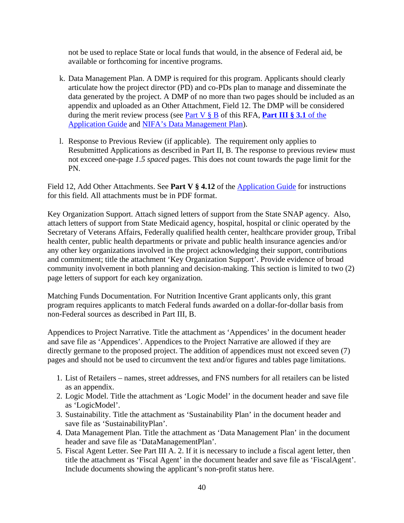not be used to replace State or local funds that would, in the absence of Federal aid, be available or forthcoming for incentive programs.

- k. Data Management Plan. A DMP is required for this program. Applicants should clearly articulate how the project director (PD) and co-PDs plan to manage and disseminate the data generated by the project. A DMP of no more than two pages should be included as an appendix and uploaded as an Other Attachment, Field 12. The DMP will be considered during the merit review process (see [Part V § B](#page-46-1) of this RFA, **[Part III § 3.1](https://apply07.grants.gov/apply/opportunities/instructions/PKG00249520-instructions.pdf)** of the [Application Guide](https://apply07.grants.gov/apply/opportunities/instructions/PKG00249520-instructions.pdf) and [NIFA's Data Management Plan\)](https://nifa.usda.gov/resource/data-management-plan-nifa-funded-research-projects).
- l. Response to Previous Review (if applicable). The requirement only applies to Resubmitted Applications as described in Part II, B. The response to previous review must not exceed one-page *1.5 spaced* pages. This does not count towards the page limit for the PN.

Field 12, Add Other Attachments. See **Part V § 4.12** of the [Application Guide](https://apply07.grants.gov/apply/opportunities/instructions/PKG00249520-instructions.pdf) for instructions for this field. All attachments must be in PDF format.

Key Organization Support. Attach signed letters of support from the State SNAP agency. Also, attach letters of support from State Medicaid agency, hospital, hospital or clinic operated by the Secretary of Veterans Affairs, Federally qualified health center, healthcare provider group, Tribal health center, public health departments or private and public health insurance agencies and/or any other key organizations involved in the project acknowledging their support, contributions and commitment; title the attachment 'Key Organization Support'. Provide evidence of broad community involvement in both planning and decision-making. This section is limited to two (2) page letters of support for each key organization.

Matching Funds Documentation. For Nutrition Incentive Grant applicants only, this grant program requires applicants to match Federal funds awarded on a dollar-for-dollar basis from non-Federal sources as described in Part III, B.

Appendices to Project Narrative. Title the attachment as 'Appendices' in the document header and save file as 'Appendices'. Appendices to the Project Narrative are allowed if they are directly germane to the proposed project. The addition of appendices must not exceed seven (7) pages and should not be used to circumvent the text and/or figures and tables page limitations.

- 1. List of Retailers names, street addresses, and FNS numbers for all retailers can be listed as an appendix.
- 2. Logic Model. Title the attachment as 'Logic Model' in the document header and save file as 'LogicModel'.
- 3. Sustainability. Title the attachment as 'Sustainability Plan' in the document header and save file as 'SustainabilityPlan'.
- 4. Data Management Plan. Title the attachment as 'Data Management Plan' in the document header and save file as 'DataManagementPlan'.
- 5. Fiscal Agent Letter. See Part III A. 2. If it is necessary to include a fiscal agent letter, then title the attachment as 'Fiscal Agent' in the document header and save file as 'FiscalAgent'. Include documents showing the applicant's non-profit status here.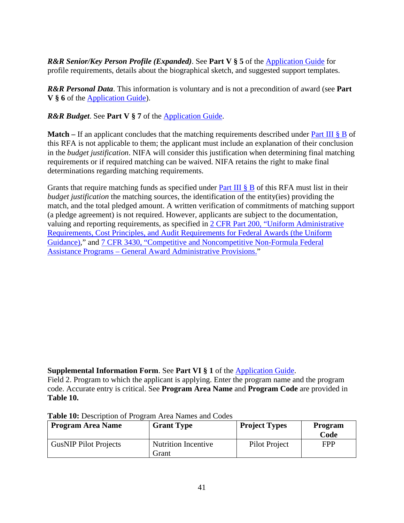*R&R Senior/Key Person Profile (Expanded)*. See **Part V § 5** of the [Application Guide](https://apply07.grants.gov/apply/opportunities/instructions/PKG00249520-instructions.pdf) for profile requirements, details about the biographical sketch, and suggested support templates.

*R&R Personal Data*. This information is voluntary and is not a precondition of award (see **Part V § 6** of the [Application Guide\)](https://apply07.grants.gov/apply/opportunities/instructions/PKG00249520-instructions.pdf).

*R&R Budget*. See **Part V § 7** of the [Application Guide.](https://apply07.grants.gov/apply/opportunities/instructions/PKG00249520-instructions.pdf)

**Match** – If an applicant concludes that the matching requirements described under [Part III § B](#page-27-0) of this RFA is not applicable to them; the applicant must include an explanation of their conclusion in the *budget justification*. NIFA will consider this justification when determining final matching requirements or if required matching can be waived. NIFA retains the right to make final determinations regarding matching requirements.

Grants that require matching funds as specified under **Part III**  $\S$  **B** of this RFA must list in their *budget justification* the matching sources, the identification of the entity(ies) providing the match, and the total pledged amount. A written verification of commitments of matching support (a pledge agreement) is not required. However, applicants are subject to the documentation, valuing and reporting requirements, as specified in [2 CFR Part 200, "Uniform Administrative](https://www.ecfr.gov/cgi-bin/text-idx?SID=39448527cdd5ebd0a063b91b8b44f0f5&mc=true&node=pt2.1.200&rgn=div5)  [Requirements, Cost Principles, and Audit Requirements for Federal Awards \(the Uniform](https://www.ecfr.gov/cgi-bin/text-idx?SID=39448527cdd5ebd0a063b91b8b44f0f5&mc=true&node=pt2.1.200&rgn=div5)  [Guidance\),](https://www.ecfr.gov/cgi-bin/text-idx?SID=39448527cdd5ebd0a063b91b8b44f0f5&mc=true&node=pt2.1.200&rgn=div5)" and [7 CFR 3430, "Competitive and Noncompetitive Non-Formula Federal](https://www.ecfr.gov/cgi-bin/text-idx?SID=3aa69af71581c35dafa42e952e8808ca&mc=true&node=pt7.15.3430&rgn=div5)  Assistance Programs – [General Award Administrative Provisions."](https://www.ecfr.gov/cgi-bin/text-idx?SID=3aa69af71581c35dafa42e952e8808ca&mc=true&node=pt7.15.3430&rgn=div5)

# **Supplemental Information Form**. See **Part VI § 1** of the [Application Guide.](https://apply07.grants.gov/apply/opportunities/instructions/PKG00249520-instructions.pdf)

Field 2. Program to which the applicant is applying. Enter the program name and the program code. Accurate entry is critical. See **Program Area Name** and **Program Code** are provided in **Table 10.**

| <b>Program Area Name</b>     | <b>Grant Type</b>                   | <b>Project Types</b> | Program<br>Code |
|------------------------------|-------------------------------------|----------------------|-----------------|
| <b>GusNIP Pilot Projects</b> | <b>Nutrition Incentive</b><br>Grant | Pilot Project        | <b>FPP</b>      |

#### <span id="page-40-0"></span>**Table 10:** Description of Program Area Names and Codes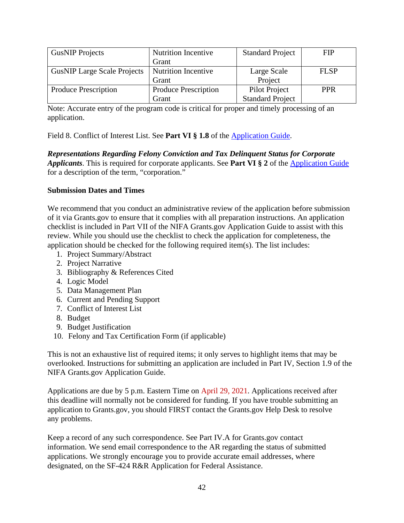| <b>GusNIP Projects</b>             | <b>Nutrition Incentive</b>  | <b>Standard Project</b> | <b>FIP</b>  |
|------------------------------------|-----------------------------|-------------------------|-------------|
|                                    | Grant                       |                         |             |
| <b>GusNIP Large Scale Projects</b> | <b>Nutrition Incentive</b>  | Large Scale             | <b>FLSP</b> |
|                                    | Grant                       | Project                 |             |
| Produce Prescription               | <b>Produce Prescription</b> | Pilot Project           | <b>PPR</b>  |
|                                    | Grant                       | <b>Standard Project</b> |             |

Note: Accurate entry of the program code is critical for proper and timely processing of an application.

Field 8. Conflict of Interest List. See **Part VI § 1.8** of the [Application Guide.](https://apply07.grants.gov/apply/opportunities/instructions/PKG00249520-instructions.pdf)

*Representations Regarding Felony Conviction and Tax Delinquent Status for Corporate Applicants*. This is required for corporate applicants. See **Part VI § 2** of the [Application Guide](https://apply07.grants.gov/apply/opportunities/instructions/PKG00249520-instructions.pdf) for a description of the term, "corporation."

## **Submission Dates and Times**

We recommend that you conduct an administrative review of the application before submission of it via Grants.gov to ensure that it complies with all preparation instructions. An application checklist is included in Part VII of the NIFA Grants.gov Application Guide to assist with this review. While you should use the checklist to check the application for completeness, the application should be checked for the following required item(s). The list includes:

- 1. Project Summary/Abstract
- 2. Project Narrative
- 3. Bibliography & References Cited
- 4. Logic Model
- 5. Data Management Plan
- 6. Current and Pending Support
- 7. Conflict of Interest List
- 8. Budget
- 9. Budget Justification
- 10. Felony and Tax Certification Form (if applicable)

This is not an exhaustive list of required items; it only serves to highlight items that may be overlooked. Instructions for submitting an application are included in Part IV, Section 1.9 of the NIFA Grants.gov Application Guide.

Applications are due by 5 p.m. Eastern Time on April 29, 2021. Applications received after this deadline will normally not be considered for funding. If you have trouble submitting an application to Grants.gov, you should FIRST contact the Grants.gov Help Desk to resolve any problems.

Keep a record of any such correspondence. See Part IV.A for Grants.gov contact information. We send email correspondence to the AR regarding the status of submitted applications. We strongly encourage you to provide accurate email addresses, where designated, on the SF-424 R&R Application for Federal Assistance.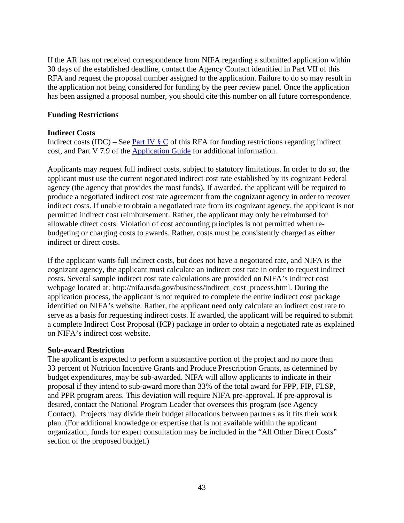If the AR has not received correspondence from NIFA regarding a submitted application within 30 days of the established deadline, contact the Agency Contact identified in Part VII of this RFA and request the proposal number assigned to the application. Failure to do so may result in the application not being considered for funding by the peer review panel. Once the application has been assigned a proposal number, you should cite this number on all future correspondence.

#### **Funding Restrictions**

#### **Indirect Costs**

Indirect costs (IDC) – See Part IV  $\S$  C of this RFA for funding restrictions regarding indirect cost, and Part V 7.9 of the [Application Guide](https://apply07.grants.gov/apply/opportunities/instructions/PKG00249520-instructions.pdf) for additional information.

Applicants may request full indirect costs, subject to statutory limitations. In order to do so, the applicant must use the current negotiated indirect cost rate established by its cognizant Federal agency (the agency that provides the most funds). If awarded, the applicant will be required to produce a negotiated indirect cost rate agreement from the cognizant agency in order to recover indirect costs. If unable to obtain a negotiated rate from its cognizant agency, the applicant is not permitted indirect cost reimbursement. Rather, the applicant may only be reimbursed for allowable direct costs. Violation of cost accounting principles is not permitted when rebudgeting or charging costs to awards. Rather, costs must be consistently charged as either indirect or direct costs.

If the applicant wants full indirect costs, but does not have a negotiated rate, and NIFA is the cognizant agency, the applicant must calculate an indirect cost rate in order to request indirect costs. Several sample indirect cost rate calculations are provided on NIFA's indirect cost webpage located at: http://nifa.usda.gov/business/indirect\_cost\_process.html. During the application process, the applicant is not required to complete the entire indirect cost package identified on NIFA's website. Rather, the applicant need only calculate an indirect cost rate to serve as a basis for requesting indirect costs. If awarded, the applicant will be required to submit a complete Indirect Cost Proposal (ICP) package in order to obtain a negotiated rate as explained on NIFA's indirect cost website.

#### **Sub-award Restriction**

The applicant is expected to perform a substantive portion of the project and no more than 33 percent of Nutrition Incentive Grants and Produce Prescription Grants, as determined by budget expenditures, may be sub-awarded. NIFA will allow applicants to indicate in their proposal if they intend to sub-award more than 33% of the total award for FPP, FIP, FLSP, and PPR program areas. This deviation will require NIFA pre-approval. If pre-approval is desired, contact the National Program Leader that oversees this program (see Agency Contact). Projects may divide their budget allocations between partners as it fits their work plan. (For additional knowledge or expertise that is not available within the applicant organization, funds for expert consultation may be included in the "All Other Direct Costs" section of the proposed budget.)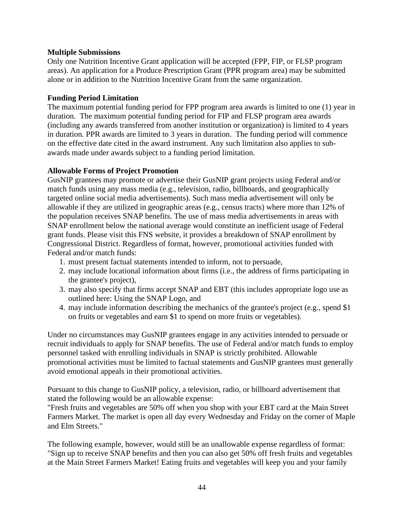#### **Multiple Submissions**

Only one Nutrition Incentive Grant application will be accepted (FPP, FIP, or FLSP program areas). An application for a Produce Prescription Grant (PPR program area) may be submitted alone or in addition to the Nutrition Incentive Grant from the same organization.

#### **Funding Period Limitation**

The maximum potential funding period for FPP program area awards is limited to one (1) year in duration. The maximum potential funding period for FIP and FLSP program area awards (including any awards transferred from another institution or organization) is limited to 4 years in duration. PPR awards are limited to 3 years in duration. The funding period will commence on the effective date cited in the award instrument. Any such limitation also applies to subawards made under awards subject to a funding period limitation.

#### **Allowable Forms of Project Promotion**

GusNIP grantees may promote or advertise their GusNIP grant projects using Federal and/or match funds using any mass media (e.g., television, radio, billboards, and geographically targeted online social media advertisements). Such mass media advertisement will only be allowable if they are utilized in geographic areas (e.g., census tracts) where more than 12% of the population receives SNAP benefits. The use of mass media advertisements in areas with SNAP enrollment below the national average would constitute an inefficient usage of Federal grant funds. Please visit this FNS website, it provides a breakdown of SNAP enrollment by Congressional District. Regardless of format, however, promotional activities funded with Federal and/or match funds:

- 1. must present factual statements intended to inform, not to persuade,
- 2. may include locational information about firms (i.e., the address of firms participating in the grantee's project),
- 3. may also specify that firms accept SNAP and EBT (this includes appropriate logo use as outlined here: Using the SNAP Logo, and
- 4. may include information describing the mechanics of the grantee's project (e.g., spend \$1 on fruits or vegetables and earn \$1 to spend on more fruits or vegetables).

Under no circumstances may GusNIP grantees engage in any activities intended to persuade or recruit individuals to apply for SNAP benefits. The use of Federal and/or match funds to employ personnel tasked with enrolling individuals in SNAP is strictly prohibited. Allowable promotional activities must be limited to factual statements and GusNIP grantees must generally avoid emotional appeals in their promotional activities.

Pursuant to this change to GusNIP policy, a television, radio, or billboard advertisement that stated the following would be an allowable expense:

"Fresh fruits and vegetables are 50% off when you shop with your EBT card at the Main Street Farmers Market. The market is open all day every Wednesday and Friday on the corner of Maple and Elm Streets."

The following example, however, would still be an unallowable expense regardless of format: "Sign up to receive SNAP benefits and then you can also get 50% off fresh fruits and vegetables at the Main Street Farmers Market! Eating fruits and vegetables will keep you and your family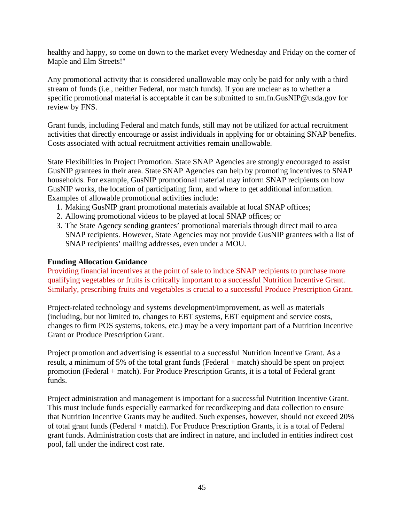healthy and happy, so come on down to the market every Wednesday and Friday on the corner of Maple and Elm Streets!"

Any promotional activity that is considered unallowable may only be paid for only with a third stream of funds (i.e., neither Federal, nor match funds). If you are unclear as to whether a specific promotional material is acceptable it can be submitted to sm.fn.GusNIP@usda.gov for review by FNS.

Grant funds, including Federal and match funds, still may not be utilized for actual recruitment activities that directly encourage or assist individuals in applying for or obtaining SNAP benefits. Costs associated with actual recruitment activities remain unallowable.

State Flexibilities in Project Promotion. State SNAP Agencies are strongly encouraged to assist GusNIP grantees in their area. State SNAP Agencies can help by promoting incentives to SNAP households. For example, GusNIP promotional material may inform SNAP recipients on how GusNIP works, the location of participating firm, and where to get additional information. Examples of allowable promotional activities include:

- 1. Making GusNIP grant promotional materials available at local SNAP offices;
- 2. Allowing promotional videos to be played at local SNAP offices; or
- 3. The State Agency sending grantees' promotional materials through direct mail to area SNAP recipients. However, State Agencies may not provide GusNIP grantees with a list of SNAP recipients' mailing addresses, even under a MOU.

#### **Funding Allocation Guidance**

Providing financial incentives at the point of sale to induce SNAP recipients to purchase more qualifying vegetables or fruits is critically important to a successful Nutrition Incentive Grant. Similarly, prescribing fruits and vegetables is crucial to a successful Produce Prescription Grant.

Project-related technology and systems development/improvement, as well as materials (including, but not limited to, changes to EBT systems, EBT equipment and service costs, changes to firm POS systems, tokens, etc.) may be a very important part of a Nutrition Incentive Grant or Produce Prescription Grant.

Project promotion and advertising is essential to a successful Nutrition Incentive Grant. As a result, a minimum of 5% of the total grant funds (Federal + match) should be spent on project promotion (Federal + match). For Produce Prescription Grants, it is a total of Federal grant funds.

Project administration and management is important for a successful Nutrition Incentive Grant. This must include funds especially earmarked for recordkeeping and data collection to ensure that Nutrition Incentive Grants may be audited. Such expenses, however, should not exceed 20% of total grant funds (Federal + match). For Produce Prescription Grants, it is a total of Federal grant funds. Administration costs that are indirect in nature, and included in entities indirect cost pool, fall under the indirect cost rate.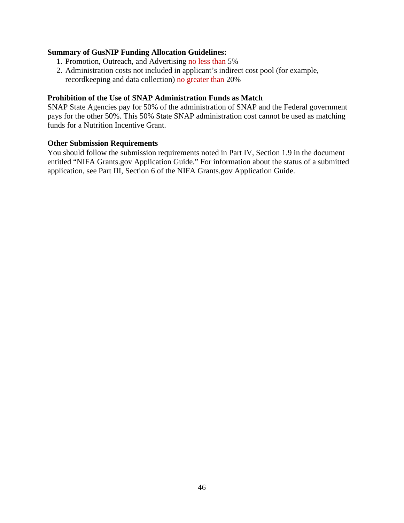#### **Summary of GusNIP Funding Allocation Guidelines:**

- 1. Promotion, Outreach, and Advertising no less than 5%
- 2. Administration costs not included in applicant's indirect cost pool (for example, recordkeeping and data collection) no greater than 20%

#### **Prohibition of the Use of SNAP Administration Funds as Match**

SNAP State Agencies pay for 50% of the administration of SNAP and the Federal government pays for the other 50%. This 50% State SNAP administration cost cannot be used as matching funds for a Nutrition Incentive Grant.

#### **Other Submission Requirements**

You should follow the submission requirements noted in Part IV, Section 1.9 in the document entitled "NIFA Grants.gov Application Guide." For information about the status of a submitted application, see Part III, Section 6 of the NIFA Grants.gov Application Guide.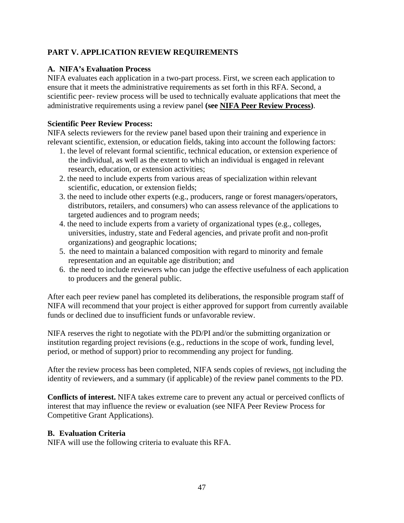# <span id="page-46-0"></span>**PART V. APPLICATION REVIEW REQUIREMENTS**

## <span id="page-46-1"></span>**A. NIFA's Evaluation Process**

NIFA evaluates each application in a two-part process. First, we screen each application to ensure that it meets the administrative requirements as set forth in this RFA. Second, a scientific peer- review process will be used to technically evaluate applications that meet the administrative requirements using a review panel **(see [NIFA Peer Review Process\)](https://nifa.usda.gov/sites/default/files/resource/NIFA-Peer-Review-Process-for-Competitive-Grant-Applications_0.pdf)**.

#### **Scientific Peer Review Process:**

NIFA selects reviewers for the review panel based upon their training and experience in relevant scientific, extension, or education fields, taking into account the following factors:

- 1. the level of relevant formal scientific, technical education, or extension experience of the individual, as well as the extent to which an individual is engaged in relevant research, education, or extension activities;
- 2. the need to include experts from various areas of specialization within relevant scientific, education, or extension fields;
- 3. the need to include other experts (e.g., producers, range or forest managers/operators, distributors, retailers, and consumers) who can assess relevance of the applications to targeted audiences and to program needs;
- 4. the need to include experts from a variety of organizational types (e.g., colleges, universities, industry, state and Federal agencies, and private profit and non-profit organizations) and geographic locations;
- 5. the need to maintain a balanced composition with regard to minority and female representation and an equitable age distribution; and
- 6. the need to include reviewers who can judge the effective usefulness of each application to producers and the general public.

After each peer review panel has completed its deliberations, the responsible program staff of NIFA will recommend that your project is either approved for support from currently available funds or declined due to insufficient funds or unfavorable review.

NIFA reserves the right to negotiate with the PD/PI and/or the submitting organization or institution regarding project revisions (e.g., reductions in the scope of work, funding level, period, or method of support) prior to recommending any project for funding.

After the review process has been completed, NIFA sends copies of reviews, not including the identity of reviewers, and a summary (if applicable) of the review panel comments to the PD.

**Conflicts of interest.** NIFA takes extreme care to prevent any actual or perceived conflicts of interest that may influence the review or evaluation (see NIFA Peer Review Process for Competitive Grant Applications).

## <span id="page-46-2"></span>**B. Evaluation Criteria**

NIFA will use the following criteria to evaluate this RFA.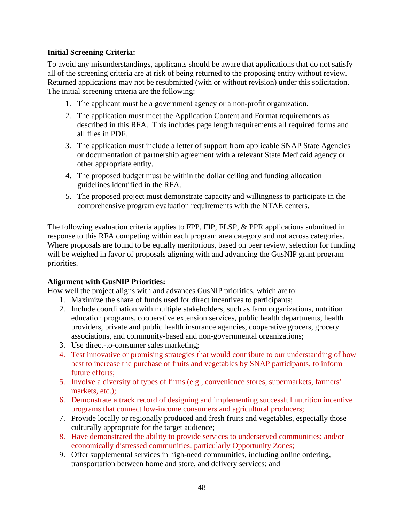## **Initial Screening Criteria:**

To avoid any misunderstandings, applicants should be aware that applications that do not satisfy all of the screening criteria are at risk of being returned to the proposing entity without review. Returned applications may not be resubmitted (with or without revision) under this solicitation. The initial screening criteria are the following:

- 1. The applicant must be a government agency or a non-profit organization.
- 2. The application must meet the Application Content and Format requirements as described in this RFA. This includes page length requirements all required forms and all files in PDF.
- 3. The application must include a letter of support from applicable SNAP State Agencies or documentation of partnership agreement with a relevant State Medicaid agency or other appropriate entity.
- 4. The proposed budget must be within the dollar ceiling and funding allocation guidelines identified in the RFA.
- 5. The proposed project must demonstrate capacity and willingness to participate in the comprehensive program evaluation requirements with the NTAE centers.

The following evaluation criteria applies to FPP, FIP, FLSP, & PPR applications submitted in response to this RFA competing within each program area category and not across categories. Where proposals are found to be equally meritorious, based on peer review, selection for funding will be weighed in favor of proposals aligning with and advancing the GusNIP grant program priorities.

#### **Alignment with GusNIP Priorities:**

How well the project aligns with and advances GusNIP priorities, which are to:

- 1. Maximize the share of funds used for direct incentives to participants;
- 2. Include coordination with multiple stakeholders, such as farm organizations, nutrition education programs, cooperative extension services, public health departments, health providers, private and public health insurance agencies, cooperative grocers, grocery associations, and community-based and non-governmental organizations;
- 3. Use direct-to-consumer sales marketing;
- 4. Test innovative or promising strategies that would contribute to our understanding of how best to increase the purchase of fruits and vegetables by SNAP participants, to inform future efforts;
- 5. Involve a diversity of types of firms (e.g., convenience stores, supermarkets, farmers' markets, etc.);
- 6. Demonstrate a track record of designing and implementing successful nutrition incentive programs that connect low-income consumers and agricultural producers;
- 7. Provide locally or regionally produced and fresh fruits and vegetables, especially those culturally appropriate for the target audience;
- 8. Have demonstrated the ability to provide services to underserved communities; and/or economically distressed communities, particularly Opportunity Zones;
- 9. Offer supplemental services in high-need communities, including online ordering, transportation between home and store, and delivery services; and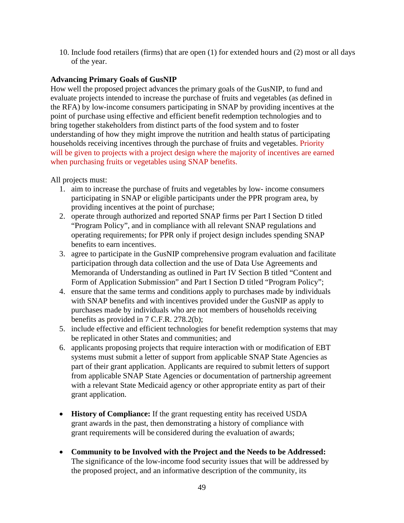10. Include food retailers (firms) that are open (1) for extended hours and (2) most or all days of the year.

## **Advancing Primary Goals of GusNIP**

How well the proposed project advances the primary goals of the GusNIP, to fund and evaluate projects intended to increase the purchase of fruits and vegetables (as defined in the RFA) by low-income consumers participating in SNAP by providing incentives at the point of purchase using effective and efficient benefit redemption technologies and to bring together stakeholders from distinct parts of the food system and to foster understanding of how they might improve the nutrition and health status of participating households receiving incentives through the purchase of fruits and vegetables. Priority will be given to projects with a project design where the majority of incentives are earned when purchasing fruits or vegetables using SNAP benefits.

All projects must:

- 1. aim to increase the purchase of fruits and vegetables by low- income consumers participating in SNAP or eligible participants under the PPR program area, by providing incentives at the point of purchase;
- 2. operate through authorized and reported SNAP firms per Part I Section D titled "Program Policy", and in compliance with all relevant SNAP regulations and operating requirements; for PPR only if project design includes spending SNAP benefits to earn incentives.
- 3. agree to participate in the GusNIP comprehensive program evaluation and facilitate participation through data collection and the use of Data Use Agreements and Memoranda of Understanding as outlined in Part IV Section B titled "Content and Form of Application Submission" and Part I Section D titled "Program Policy";
- 4. ensure that the same terms and conditions apply to purchases made by individuals with SNAP benefits and with incentives provided under the GusNIP as apply to purchases made by individuals who are not members of households receiving benefits as provided in 7 C.F.R. 278.2(b);
- 5. include effective and efficient technologies for benefit redemption systems that may be replicated in other States and communities; and
- 6. applicants proposing projects that require interaction with or modification of EBT systems must submit a letter of support from applicable SNAP State Agencies as part of their grant application. Applicants are required to submit letters of support from applicable SNAP State Agencies or documentation of partnership agreement with a relevant State Medicaid agency or other appropriate entity as part of their grant application.
- **History of Compliance:** If the grant requesting entity has received USDA grant awards in the past, then demonstrating a history of compliance with grant requirements will be considered during the evaluation of awards;
- **Community to be Involved with the Project and the Needs to be Addressed:** The significance of the low-income food security issues that will be addressed by the proposed project, and an informative description of the community, its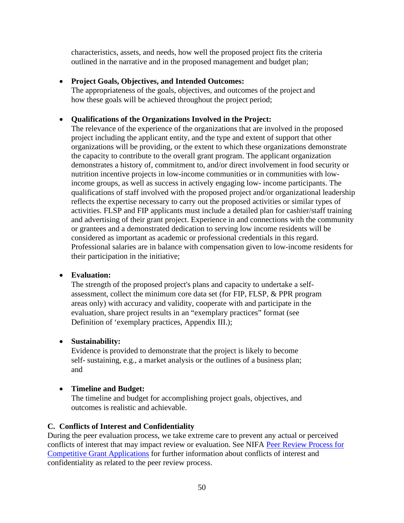characteristics, assets, and needs, how well the proposed project fits the criteria outlined in the narrative and in the proposed management and budget plan;

## • **Project Goals, Objectives, and Intended Outcomes:**

The appropriateness of the goals, objectives, and outcomes of the project and how these goals will be achieved throughout the project period;

## • **Qualifications of the Organizations Involved in the Project:**

The relevance of the experience of the organizations that are involved in the proposed project including the applicant entity, and the type and extent of support that other organizations will be providing, or the extent to which these organizations demonstrate the capacity to contribute to the overall grant program. The applicant organization demonstrates a history of, commitment to, and/or direct involvement in food security or nutrition incentive projects in low-income communities or in communities with lowincome groups, as well as success in actively engaging low- income participants. The qualifications of staff involved with the proposed project and/or organizational leadership reflects the expertise necessary to carry out the proposed activities or similar types of activities. FLSP and FIP applicants must include a detailed plan for cashier/staff training and advertising of their grant project. Experience in and connections with the community or grantees and a demonstrated dedication to serving low income residents will be considered as important as academic or professional credentials in this regard. Professional salaries are in balance with compensation given to low-income residents for their participation in the initiative;

#### • **Evaluation:**

The strength of the proposed project's plans and capacity to undertake a selfassessment, collect the minimum core data set (for FIP, FLSP, & PPR program areas only) with accuracy and validity, cooperate with and participate in the evaluation, share project results in an "exemplary practices" format (see Definition of 'exemplary practices, Appendix III.);

## • **Sustainability:**

Evidence is provided to demonstrate that the project is likely to become self- sustaining, e.g., a market analysis or the outlines of a business plan; and

## • **Timeline and Budget:**

The timeline and budget for accomplishing project goals, objectives, and outcomes is realistic and achievable.

## <span id="page-49-0"></span>**C. Conflicts of Interest and Confidentiality**

During the peer evaluation process, we take extreme care to prevent any actual or perceived conflicts of interest that may impact review or evaluation. See NIFA [Peer Review Process for](https://www.nifa.usda.gov/business/competitive_peer_review.html)  [Competitive Grant Applications](https://www.nifa.usda.gov/business/competitive_peer_review.html) for further information about conflicts of interest and confidentiality as related to the peer review process.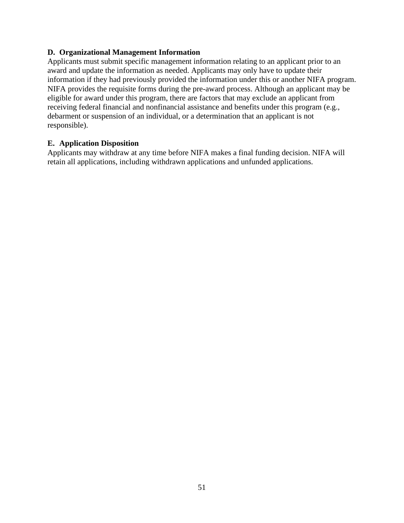#### <span id="page-50-0"></span>**D. Organizational Management Information**

Applicants must submit specific management information relating to an applicant prior to an award and update the information as needed. Applicants may only have to update their information if they had previously provided the information under this or another NIFA program. NIFA provides the requisite forms during the pre-award process. Although an applicant may be eligible for award under this program, there are factors that may exclude an applicant from receiving federal financial and nonfinancial assistance and benefits under this program (e.g., debarment or suspension of an individual, or a determination that an applicant is not responsible).

#### <span id="page-50-1"></span>**E. Application Disposition**

Applicants may withdraw at any time before NIFA makes a final funding decision. NIFA will retain all applications, including withdrawn applications and unfunded applications.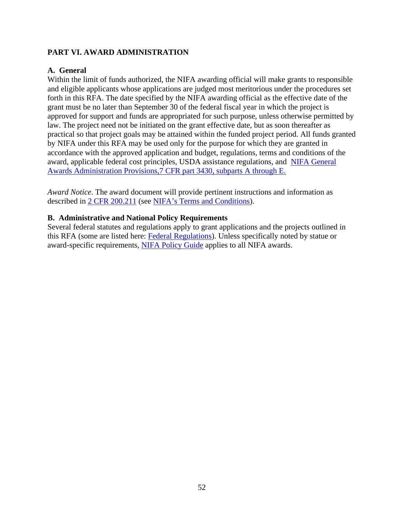## <span id="page-51-0"></span>**PART VI. AWARD ADMINISTRATION**

## <span id="page-51-1"></span>**A. General**

Within the limit of funds authorized, the NIFA awarding official will make grants to responsible and eligible applicants whose applications are judged most meritorious under the procedures set forth in this RFA. The date specified by the NIFA awarding official as the effective date of the grant must be no later than September 30 of the federal fiscal year in which the project is approved for support and funds are appropriated for such purpose, unless otherwise permitted by law. The project need not be initiated on the grant effective date, but as soon thereafter as practical so that project goals may be attained within the funded project period. All funds granted by NIFA under this RFA may be used only for the purpose for which they are granted in accordance with the approved application and budget, regulations, terms and conditions of the award, applicable federal cost principles, USDA assistance regulations, and [NIFA General](https://www.ecfr.gov/cgi-bin/text-idx?SID=3aa69af71581c35dafa42e952e8808ca&mc=true&node=pt7.15.3430&rgn=div5)  [Awards Administration Provisions,7 CFR part 3430, subparts A through E.](https://www.ecfr.gov/cgi-bin/text-idx?SID=3aa69af71581c35dafa42e952e8808ca&mc=true&node=pt7.15.3430&rgn=div5)

*Award Notice*. The award document will provide pertinent instructions and information as described in [2 CFR 200.211](https://www.ecfr.gov/cgi-bin/text-idx?SID=704b9245fc1418727c8fb5fdf5b5d854&mc=true&node=pt2.1.200&rgn=div5#se2.1.200_1211) (see [NIFA's Terms and Conditions\)](https://nifa.usda.gov/terms-and-conditions).

#### <span id="page-51-2"></span>**B. Administrative and National Policy Requirements**

Several federal statutes and regulations apply to grant applications and the projects outlined in this RFA (some are listed here: [Federal Regulations\)](https://nifa.usda.gov/federal-regulations). Unless specifically noted by statue or award-specific requirements, [NIFA Policy Guide](https://nifa.usda.gov/policy-guide) applies to all NIFA awards.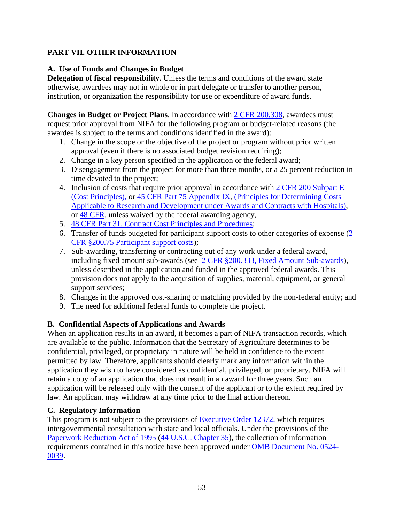## <span id="page-52-0"></span>**PART VII. OTHER INFORMATION**

## <span id="page-52-1"></span>**A. Use of Funds and Changes in Budget**

**Delegation of fiscal responsibility**. Unless the terms and conditions of the award state otherwise, awardees may not in whole or in part delegate or transfer to another person, institution, or organization the responsibility for use or expenditure of award funds.

**Changes in Budget or Project Plans**. In accordance with [2 CFR 200.308,](https://www.ecfr.gov/cgi-bin/text-idx?SID=3af89506559b05297e7d0334cb283e24&mc=true&node=se2.1.200_1308&rgn=div8) awardees must request prior approval from NIFA for the following program or budget-related reasons (the awardee is subject to the terms and conditions identified in the award):

- 1. Change in the scope or the objective of the project or program without prior written approval (even if there is no associated budget revision requiring);
- 2. Change in a key person specified in the application or the federal award;
- 3. Disengagement from the project for more than three months, or a 25 percent reduction in time devoted to the project;
- 4. Inclusion of costs that require prior approval in accordance with [2 CFR 200 Subpart E](https://www.ecfr.gov/cgi-bin/text-idx?SID=8f765750f38cb2876897f29cf536b197&mc=true&node=pt2.1.200&rgn=div5#sp2.1.200.e) [\(Cost Principles\),](https://www.ecfr.gov/cgi-bin/text-idx?SID=8f765750f38cb2876897f29cf536b197&mc=true&node=pt2.1.200&rgn=div5#sp2.1.200.e) or [45 CFR Part 75 Appendix IX,](https://www.ecfr.gov/cgi-bin/text-idx?node=pt45.1.75#ap45.1.75_1521.ix) [\(Principles for Determining Costs](https://www.ecfr.gov/cgi-bin/text-idx?node=pt45.1.75#ap45.1.75_1521.ix)  Applicable to [Research and Development under Awards and Contracts with Hospitals\)](https://www.ecfr.gov/cgi-bin/text-idx?node=pt45.1.75#ap45.1.75_1521.ix), or [48 CFR,](https://www.ecfr.gov/cgi-bin/text-idx?SID=8f765750f38cb2876897f29cf536b197&mc=true&tpl=/ecfrbrowse/Title48/48tab_02.tpl) unless waived by the federal awarding agency,
- 5. [48 CFR Part 31, Contract Cost Principles and Procedures;](https://www.ecfr.gov/cgi-bin/text-idx?SID=8f765750f38cb2876897f29cf536b197&mc=true&node=pt48.1.31&rgn=div5)
- 6. Transfer of funds budgeted for participant support costs to other categories of expense [\(2](https://www.ecfr.gov/cgi-bin/text-idx?SID=8f765750f38cb2876897f29cf536b197&mc=true&node=pt2.1.200&rgn=div5#se2.1.200_175)  [CFR §200.75 Participant support costs\)](https://www.ecfr.gov/cgi-bin/text-idx?SID=8f765750f38cb2876897f29cf536b197&mc=true&node=pt2.1.200&rgn=div5#se2.1.200_175);
- 7. Sub-awarding, transferring or contracting out of any work under a federal award, including fixed amount sub-awards (see [2 CFR §200.333, Fixed Amount Sub-awards\)](https://www.ecfr.gov/cgi-bin/text-idx?SID=704b9245fc1418727c8fb5fdf5b5d854&mc=true&node=pt2.1.200&rgn=div5#se2.1.200_1333), unless described in the application and funded in the approved federal awards. This provision does not apply to the acquisition of supplies, material, equipment, or general support services;
- 8. Changes in the approved cost-sharing or matching provided by the non-federal entity; and
- 9. The need for additional federal funds to complete the project.

## <span id="page-52-2"></span>**B. Confidential Aspects of Applications and Awards**

When an application results in an award, it becomes a part of NIFA transaction records, which are available to the public. Information that the Secretary of Agriculture determines to be confidential, privileged, or proprietary in nature will be held in confidence to the extent permitted by law. Therefore, applicants should clearly mark any information within the application they wish to have considered as confidential, privileged, or proprietary. NIFA will retain a copy of an application that does not result in an award for three years. Such an application will be released only with the consent of the applicant or to the extent required by law. An applicant may withdraw at any time prior to the final action thereon.

## <span id="page-52-3"></span>**C. Regulatory Information**

This program is not subject to the provisions of [Executive Order 12372,](https://www.fws.gov/policy/library/rgeo12372.pdf) which requires intergovernmental consultation with state and local officials. Under the provisions of the [Paperwork Reduction Act of 1995](https://www.reginfo.gov/public/reginfo/pra.pdf) [\(44 U.S.C. Chapter 35\)](http://uscode.house.gov/view.xhtml?path=/prelim@title44/chapter35&edition=prelim), the collection of information requirements contained in this notice have been approved under [OMB Document No. 0524-](https://www.federalregister.gov/documents/2018/10/29/2018-23552/submission-for-omb-review-comment-request) [0039.](https://www.federalregister.gov/documents/2018/10/29/2018-23552/submission-for-omb-review-comment-request)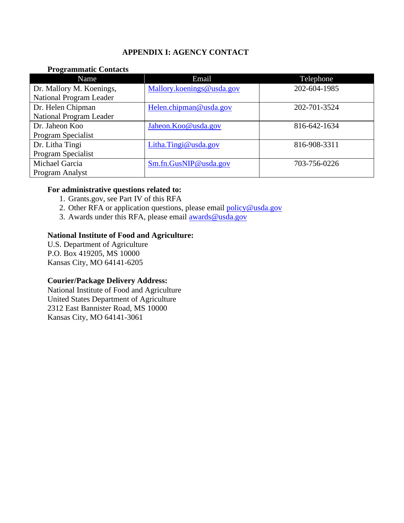## **APPENDIX I: AGENCY CONTACT**

#### <span id="page-53-0"></span>**Programmatic Contacts**

| Name                           | Email                     | Telephone    |
|--------------------------------|---------------------------|--------------|
| Dr. Mallory M. Koenings,       | Mallory.koenings@usda.gov | 202-604-1985 |
| National Program Leader        |                           |              |
| Dr. Helen Chipman              | Helen.chipman@usda.gov    | 202-701-3524 |
| <b>National Program Leader</b> |                           |              |
| Dr. Jaheon Koo                 | Jaheon.Koo@usda.gov       | 816-642-1634 |
| Program Specialist             |                           |              |
| Dr. Litha Tingi                | Litha.Tingi@usda.gov      | 816-908-3311 |
| Program Specialist             |                           |              |
| Michael Garcia                 | Sm.fn.GusNIP@usda.gov     | 703-756-0226 |
| Program Analyst                |                           |              |

## **For administrative questions related to:**

- 1. Grants.gov, see Part IV of this RFA
- 2. Other RFA or application questions, please email policy@usda.gov
- 3. Awards under this RFA, please email **awards@usda.gov**

#### **National Institute of Food and Agriculture:**

U.S. Department of Agriculture P.O. Box 419205, MS 10000 Kansas City, MO 64141-6205

#### **Courier/Package Delivery Address:**

National Institute of Food and Agriculture United States Department of Agriculture 2312 East Bannister Road, MS 10000 Kansas City, MO 64141-3061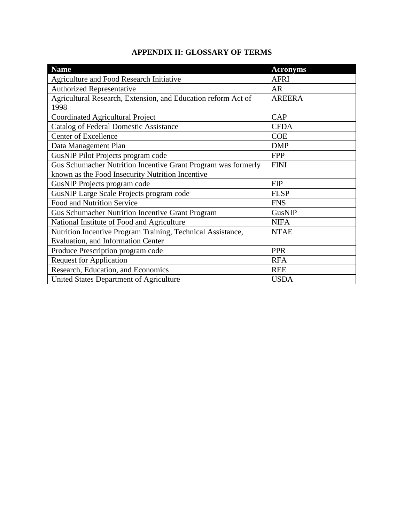|  | <b>APPENDIX II: GLOSSARY OF TERMS</b> |
|--|---------------------------------------|
|--|---------------------------------------|

<span id="page-54-0"></span>

| <b>Name</b>                                                   | <b>Acronyms</b> |
|---------------------------------------------------------------|-----------------|
| Agriculture and Food Research Initiative                      | <b>AFRI</b>     |
| <b>Authorized Representative</b>                              | <b>AR</b>       |
| Agricultural Research, Extension, and Education reform Act of | <b>AREERA</b>   |
| 1998                                                          |                 |
| Coordinated Agricultural Project                              | <b>CAP</b>      |
| <b>Catalog of Federal Domestic Assistance</b>                 | <b>CFDA</b>     |
| Center of Excellence                                          | <b>COE</b>      |
| Data Management Plan                                          | <b>DMP</b>      |
| GusNIP Pilot Projects program code                            | <b>FPP</b>      |
| Gus Schumacher Nutrition Incentive Grant Program was formerly | <b>FINI</b>     |
| known as the Food Insecurity Nutrition Incentive              |                 |
| GusNIP Projects program code                                  | <b>FIP</b>      |
| GusNIP Large Scale Projects program code                      | <b>FLSP</b>     |
| Food and Nutrition Service                                    | <b>FNS</b>      |
| <b>Gus Schumacher Nutrition Incentive Grant Program</b>       | GusNIP          |
| National Institute of Food and Agriculture                    | <b>NIFA</b>     |
| Nutrition Incentive Program Training, Technical Assistance,   | <b>NTAE</b>     |
| Evaluation, and Information Center                            |                 |
| Produce Prescription program code                             | <b>PPR</b>      |
| <b>Request for Application</b>                                | <b>RFA</b>      |
| Research, Education, and Economics                            | <b>REE</b>      |
| United States Department of Agriculture                       | <b>USDA</b>     |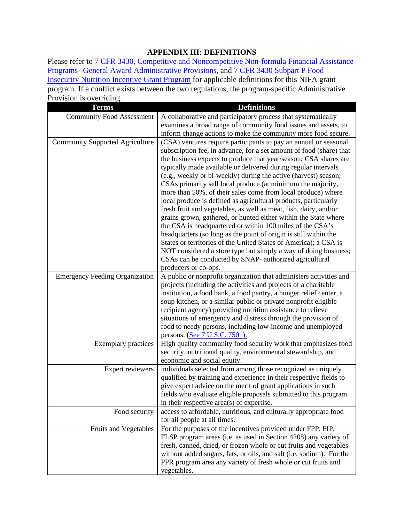## **APPENDIX III: DEFINITIONS**

<span id="page-55-0"></span>Please refer to 7 CFR 3430, Competitive and Noncompetitive Non-formula Financial Assistance [Programs--General Award Administrative Provisions,](https://www.ecfr.gov/cgi-bin/text-idx?SID=8f765750f38cb2876897f29cf536b197&mc=true&node=pt7.15.3430&rgn=div5) and [7 CFR 3430 Subpart P Food](https://www.ecfr.gov/cgi-bin/text-idx?SID=8f765750f38cb2876897f29cf536b197&mc=true&node=pt7.15.3430&rgn=div5#sp7.15.3430.p)  [Insecurity Nutrition Incentive Grant Program](https://www.ecfr.gov/cgi-bin/text-idx?SID=8f765750f38cb2876897f29cf536b197&mc=true&node=pt7.15.3430&rgn=div5#sp7.15.3430.p) for applicable definitions for this NIFA grant program. If a conflict exists between the two regulations, the program-specific Administrative Provision is overriding.

| <b>Terms</b>                           | <b>Definitions</b>                                                                                                                 |
|----------------------------------------|------------------------------------------------------------------------------------------------------------------------------------|
| <b>Community Food Assessment</b>       | A collaborative and participatory process that systematically                                                                      |
|                                        | examines a broad range of community food issues and assets, to                                                                     |
|                                        | inform change actions to make the community more food secure.                                                                      |
| <b>Community Supported Agriculture</b> | (CSA) ventures require participants to pay an annual or seasonal                                                                   |
|                                        | subscription fee, in advance, for a set amount of food (share) that                                                                |
|                                        | the business expects to produce that year/season; CSA shares are                                                                   |
|                                        | typically made available or delivered during regular intervals                                                                     |
|                                        | (e.g., weekly or bi-weekly) during the active (harvest) season;                                                                    |
|                                        | CSAs primarily sell local produce (at minimum the majority,                                                                        |
|                                        | more than 50%, of their sales come from local produce) where                                                                       |
|                                        | local produce is defined as agricultural products, particularly                                                                    |
|                                        | fresh fruit and vegetables, as well as meat, fish, dairy, and/or                                                                   |
|                                        | grains grown, gathered, or hunted either within the State where<br>the CSA is headquartered or within 100 miles of the CSA's       |
|                                        | headquarters (so long as the point of origin is still within the                                                                   |
|                                        | States or territories of the United States of America); a CSA is                                                                   |
|                                        | NOT considered a store type but simply a way of doing business;                                                                    |
|                                        | CSAs can be conducted by SNAP- authorized agricultural                                                                             |
|                                        | producers or co-ops.                                                                                                               |
| <b>Emergency Feeding Organization</b>  | A public or nonprofit organization that administers activities and                                                                 |
|                                        | projects (including the activities and projects of a charitable                                                                    |
|                                        | institution, a food bank, a food pantry, a hunger relief center, a                                                                 |
|                                        | soup kitchen, or a similar public or private nonprofit eligible                                                                    |
|                                        | recipient agency) providing nutrition assistance to relieve                                                                        |
|                                        | situations of emergency and distress through the provision of                                                                      |
|                                        | food to needy persons, including low-income and unemployed                                                                         |
|                                        | persons. (See 7 U.S.C. 7501).                                                                                                      |
| <b>Exemplary practices</b>             | High quality community food security work that emphasizes food                                                                     |
|                                        | security, nutritional quality, environmental stewardship, and                                                                      |
|                                        | economic and social equity.                                                                                                        |
| Expert reviewers                       | individuals selected from among those recognized as uniquely<br>qualified by training and experience in their respective fields to |
|                                        | give expert advice on the merit of grant applications in such                                                                      |
|                                        | fields who evaluate eligible proposals submitted to this program                                                                   |
|                                        | in their respective area(s) of expertise.                                                                                          |
| Food security                          | access to affordable, nutritious, and culturally appropriate food                                                                  |
|                                        | for all people at all times.                                                                                                       |
| Fruits and Vegetables                  | For the purposes of the incentives provided under FPP, FIP,                                                                        |
|                                        | FLSP program areas (i.e. as used in Section 4208) any variety of                                                                   |
|                                        | fresh, canned, dried, or frozen whole or cut fruits and vegetables                                                                 |
|                                        | without added sugars, fats, or oils, and salt (i.e. sodium). For the                                                               |
|                                        | PPR program area any variety of fresh whole or cut fruits and                                                                      |
|                                        | vegetables.                                                                                                                        |